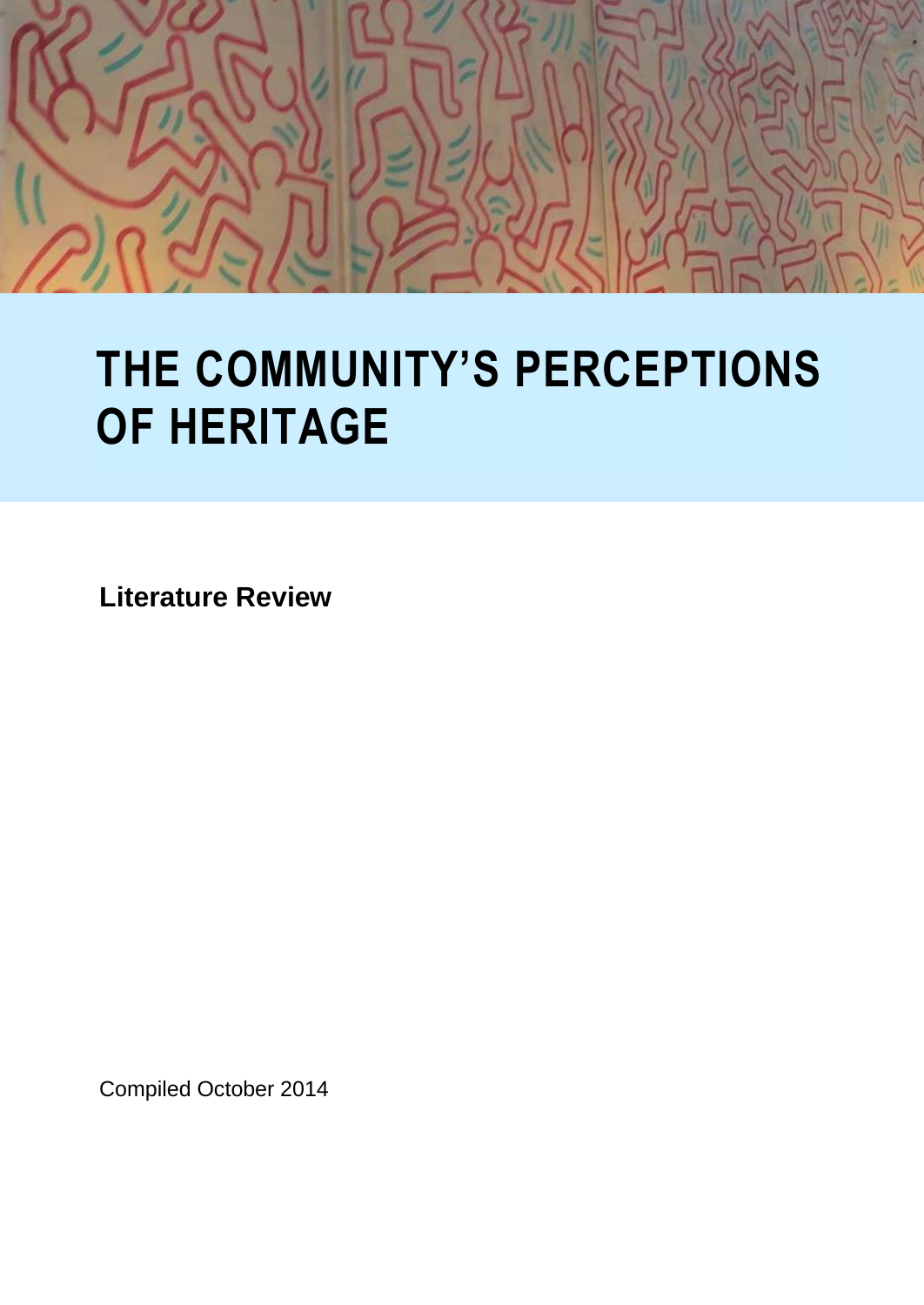

# **THE COMMUNITY'S PERCEPTIONS OF HERITAGE**

**Literature Review**

Compiled October 2014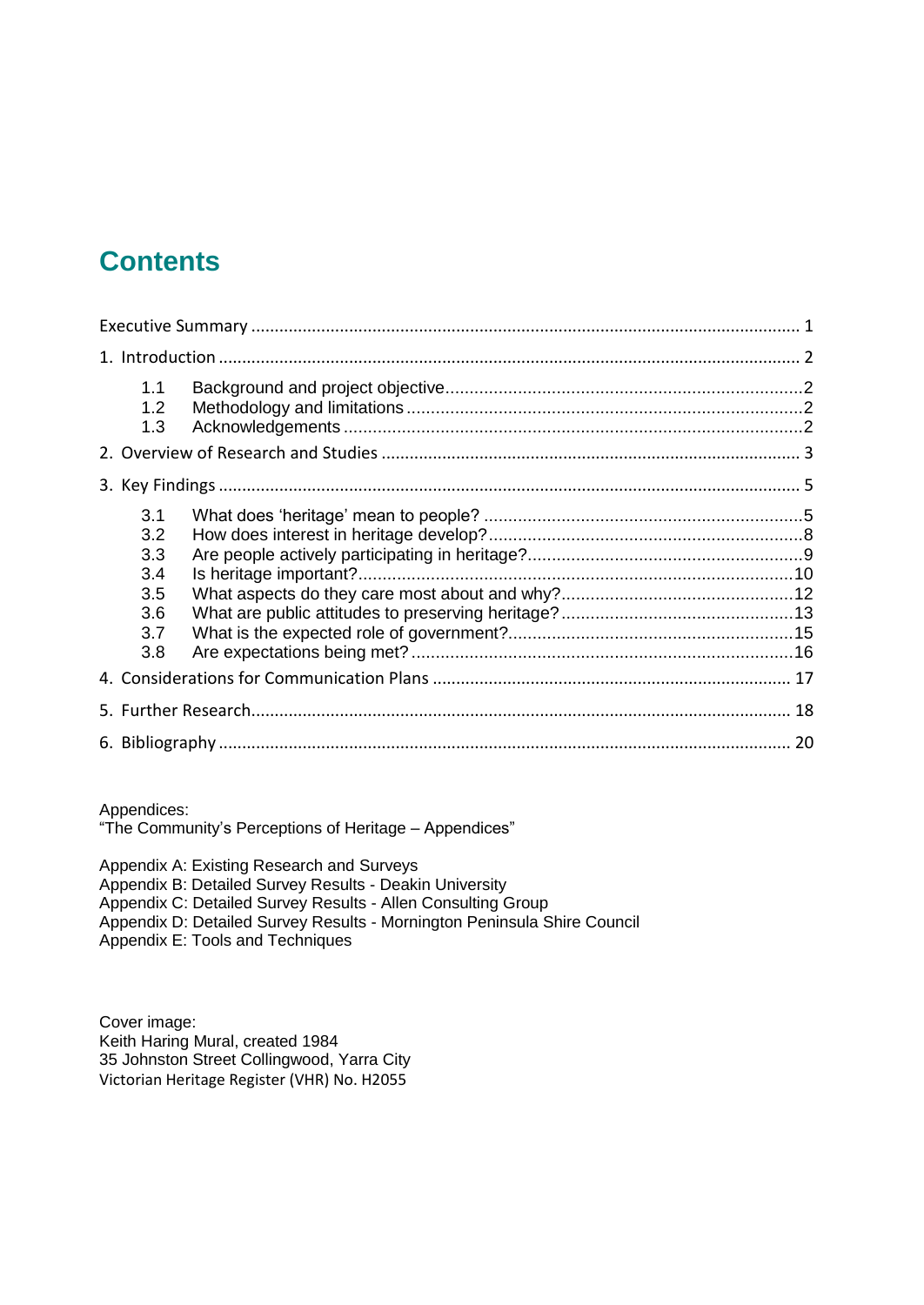## **Contents**

| 1.1<br>1.2<br>1.3                                    |  |
|------------------------------------------------------|--|
|                                                      |  |
| 3.1<br>3.2<br>3.3<br>3.4<br>3.5<br>3.6<br>3.7<br>3.8 |  |
|                                                      |  |
|                                                      |  |
|                                                      |  |

Appendices:

"The Community's Perceptions of Heritage – Appendices"

Appendix A: Existing Research and Surveys Appendix B: Detailed Survey Results - Deakin University Appendix C: Detailed Survey Results - Allen Consulting Group Appendix D: Detailed Survey Results - Mornington Peninsula Shire Council Appendix E: Tools and Techniques

Cover image: Keith Haring Mural, created 1984 35 Johnston Street Collingwood, Yarra City Victorian Heritage Register (VHR) No. H2055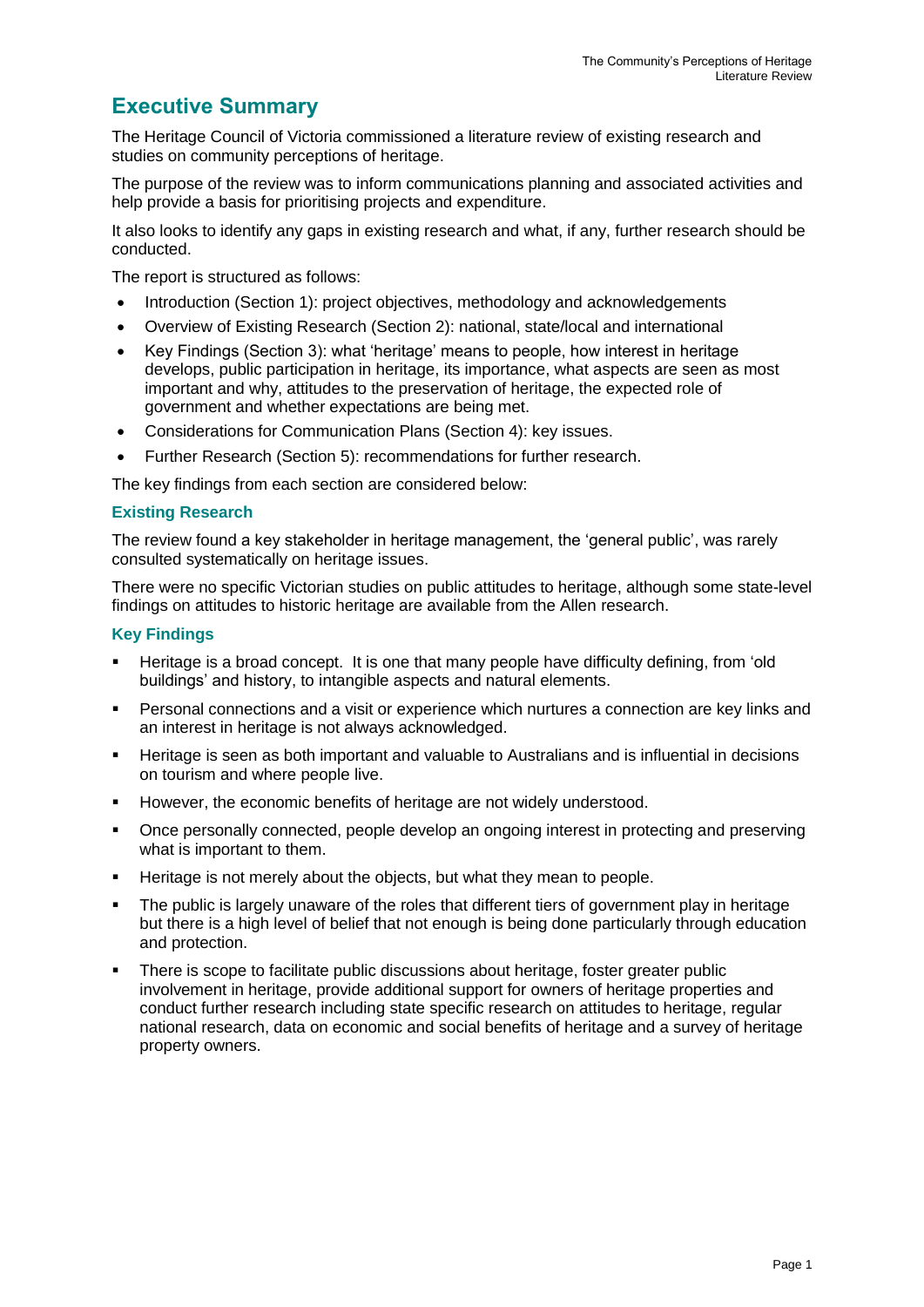### **Executive Summary**

The Heritage Council of Victoria commissioned a literature review of existing research and studies on community perceptions of heritage.

The purpose of the review was to inform communications planning and associated activities and help provide a basis for prioritising projects and expenditure.

It also looks to identify any gaps in existing research and what, if any, further research should be conducted.

The report is structured as follows:

- Introduction (Section 1): project objectives, methodology and acknowledgements
- Overview of Existing Research (Section 2): national, state/local and international
- Key Findings (Section 3): what 'heritage' means to people, how interest in heritage develops, public participation in heritage, its importance, what aspects are seen as most important and why, attitudes to the preservation of heritage, the expected role of government and whether expectations are being met.
- Considerations for Communication Plans (Section 4): key issues.
- Further Research (Section 5): recommendations for further research.

The key findings from each section are considered below:

#### **Existing Research**

The review found a key stakeholder in heritage management, the 'general public', was rarely consulted systematically on heritage issues.

There were no specific Victorian studies on public attitudes to heritage, although some state-level findings on attitudes to historic heritage are available from the Allen research.

#### **Key Findings**

- Heritage is a broad concept. It is one that many people have difficulty defining, from 'old buildings' and history, to intangible aspects and natural elements.
- Personal connections and a visit or experience which nurtures a connection are key links and an interest in heritage is not always acknowledged.
- Heritage is seen as both important and valuable to Australians and is influential in decisions on tourism and where people live.
- However, the economic benefits of heritage are not widely understood.
- Once personally connected, people develop an ongoing interest in protecting and preserving what is important to them.
- **Heritage is not merely about the objects, but what they mean to people.**
- The public is largely unaware of the roles that different tiers of government play in heritage but there is a high level of belief that not enough is being done particularly through education and protection.
- There is scope to facilitate public discussions about heritage, foster greater public involvement in heritage, provide additional support for owners of heritage properties and conduct further research including state specific research on attitudes to heritage, regular national research, data on economic and social benefits of heritage and a survey of heritage property owners.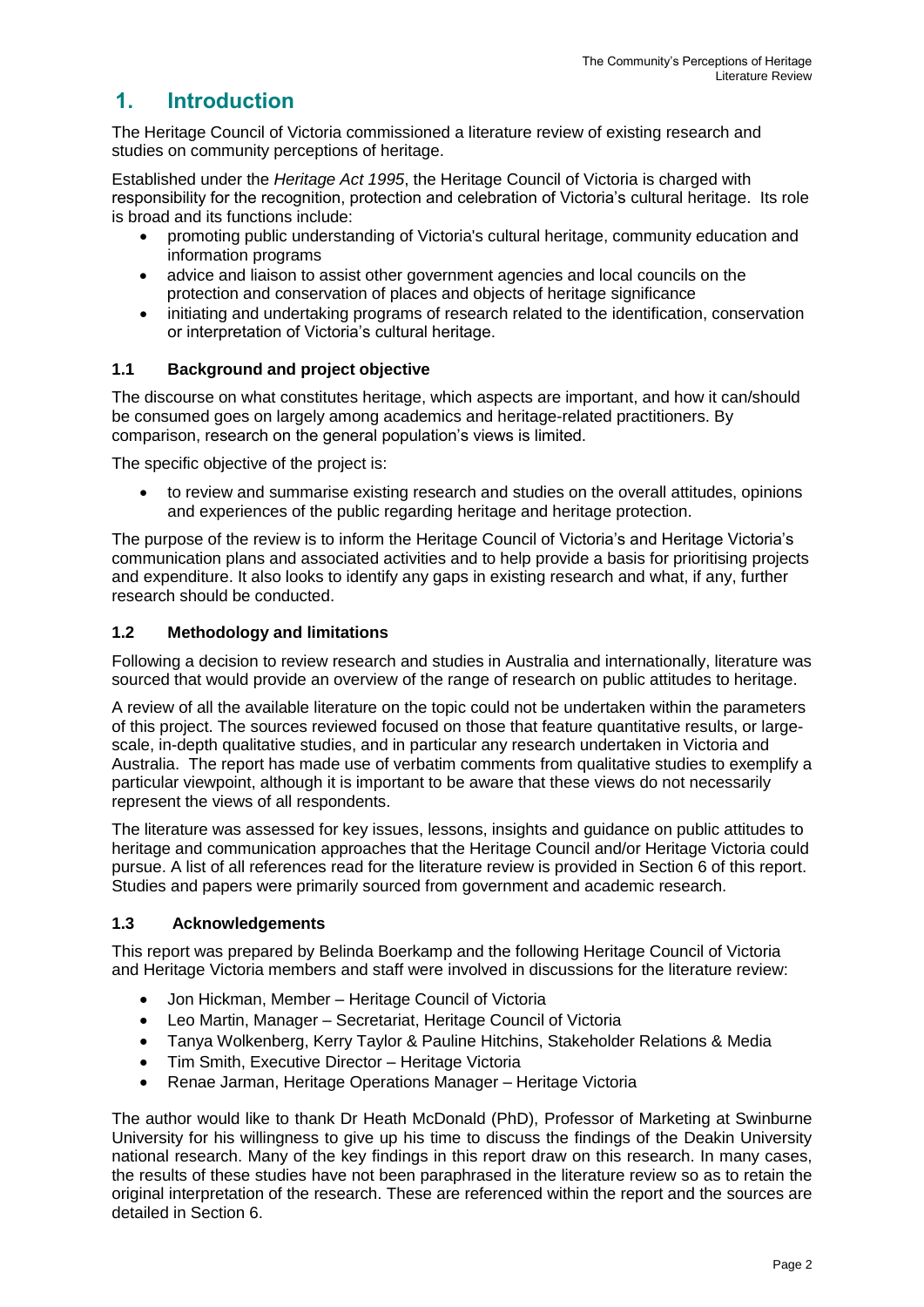## **1. Introduction**

The Heritage Council of Victoria commissioned a literature review of existing research and studies on community perceptions of heritage.

Established under the *Heritage Act 1995*, the Heritage Council of Victoria is charged with responsibility for the recognition, protection and celebration of Victoria's cultural heritage. Its role is broad and its functions include:

- promoting public understanding of Victoria's cultural heritage, community education and information programs
- advice and liaison to assist other government agencies and local councils on the protection and conservation of places and objects of heritage significance
- initiating and undertaking programs of research related to the identification, conservation or interpretation of Victoria's cultural heritage.

#### **1.1 Background and project objective**

The discourse on what constitutes heritage, which aspects are important, and how it can/should be consumed goes on largely among academics and heritage-related practitioners. By comparison, research on the general population's views is limited.

The specific objective of the project is:

 to review and summarise existing research and studies on the overall attitudes, opinions and experiences of the public regarding heritage and heritage protection.

The purpose of the review is to inform the Heritage Council of Victoria's and Heritage Victoria's communication plans and associated activities and to help provide a basis for prioritising projects and expenditure. It also looks to identify any gaps in existing research and what, if any, further research should be conducted.

#### **1.2 Methodology and limitations**

Following a decision to review research and studies in Australia and internationally, literature was sourced that would provide an overview of the range of research on public attitudes to heritage.

A review of all the available literature on the topic could not be undertaken within the parameters of this project. The sources reviewed focused on those that feature quantitative results, or largescale, in-depth qualitative studies, and in particular any research undertaken in Victoria and Australia. The report has made use of verbatim comments from qualitative studies to exemplify a particular viewpoint, although it is important to be aware that these views do not necessarily represent the views of all respondents.

The literature was assessed for key issues, lessons, insights and guidance on public attitudes to heritage and communication approaches that the Heritage Council and/or Heritage Victoria could pursue. A list of all references read for the literature review is provided in Section 6 of this report. Studies and papers were primarily sourced from government and academic research.

#### **1.3 Acknowledgements**

This report was prepared by Belinda Boerkamp and the following Heritage Council of Victoria and Heritage Victoria members and staff were involved in discussions for the literature review:

- Jon Hickman, Member Heritage Council of Victoria
- Leo Martin, Manager Secretariat, Heritage Council of Victoria
- Tanya Wolkenberg, Kerry Taylor & Pauline Hitchins, Stakeholder Relations & Media
- Tim Smith, Executive Director Heritage Victoria
- Renae Jarman, Heritage Operations Manager Heritage Victoria

The author would like to thank Dr Heath McDonald (PhD), Professor of Marketing at Swinburne University for his willingness to give up his time to discuss the findings of the Deakin University national research. Many of the key findings in this report draw on this research. In many cases, the results of these studies have not been paraphrased in the literature review so as to retain the original interpretation of the research. These are referenced within the report and the sources are detailed in Section 6.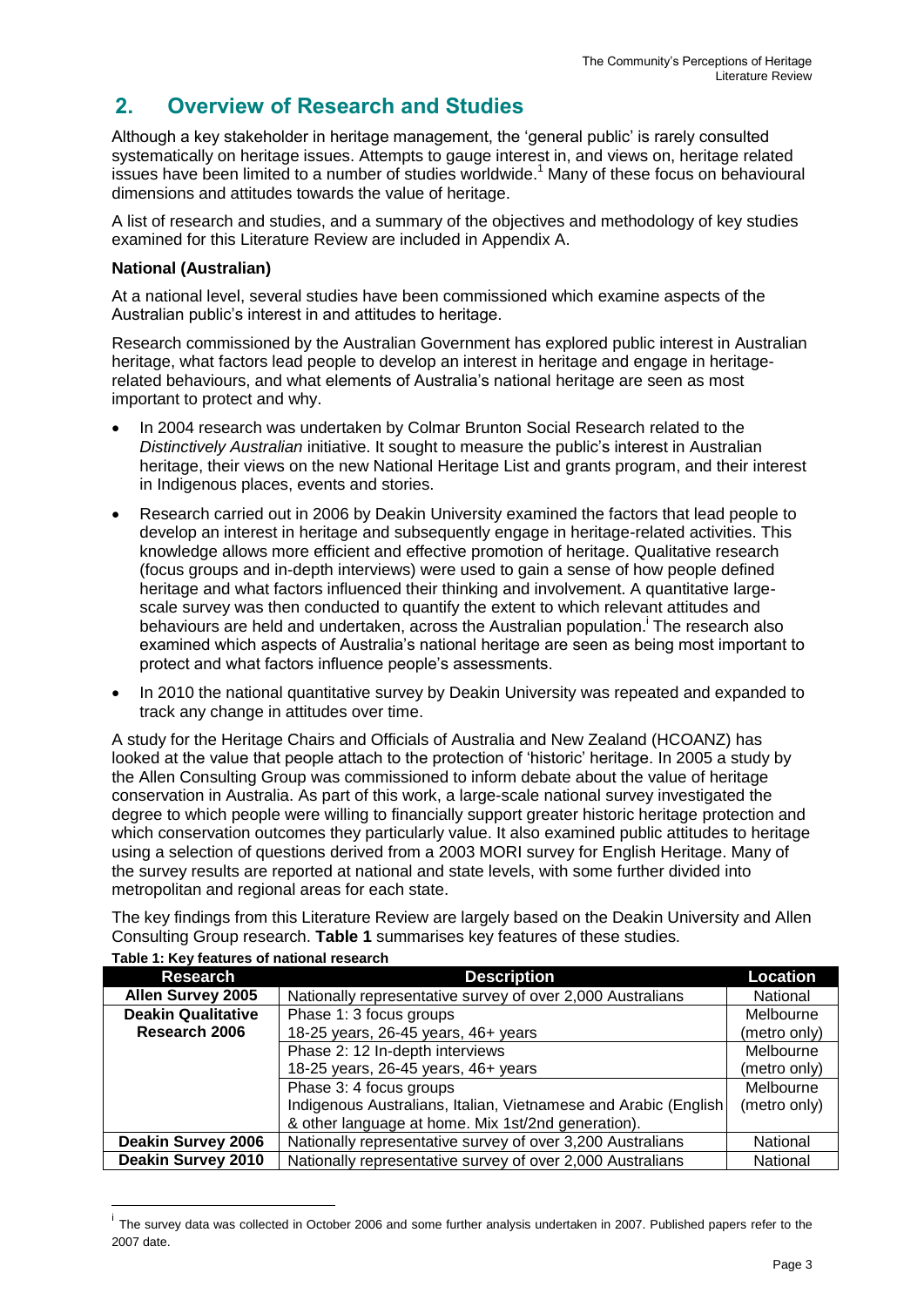## **2. Overview of Research and Studies**

Although a key stakeholder in heritage management, the 'general public' is rarely consulted systematically on heritage issues. Attempts to gauge interest in, and views on, heritage related issues have been limited to a number of studies worldwide.<sup>1</sup> Many of these focus on behavioural dimensions and attitudes towards the value of heritage.

A list of research and studies, and a summary of the objectives and methodology of key studies examined for this Literature Review are included in Appendix A.

#### **National (Australian)**

At a national level, several studies have been commissioned which examine aspects of the Australian public's interest in and attitudes to heritage.

Research commissioned by the Australian Government has explored public interest in Australian heritage, what factors lead people to develop an interest in heritage and engage in heritagerelated behaviours, and what elements of Australia's national heritage are seen as most important to protect and why.

- In 2004 research was undertaken by Colmar Brunton Social Research related to the *Distinctively Australian* initiative. It sought to measure the public's interest in Australian heritage, their views on the new National Heritage List and grants program, and their interest in Indigenous places, events and stories.
- Research carried out in 2006 by Deakin University examined the factors that lead people to develop an interest in heritage and subsequently engage in heritage-related activities. This knowledge allows more efficient and effective promotion of heritage. Qualitative research (focus groups and in-depth interviews) were used to gain a sense of how people defined heritage and what factors influenced their thinking and involvement. A quantitative largescale survey was then conducted to quantify the extent to which relevant attitudes and behaviours are held and undertaken, across the Australian population.<sup>i</sup> The research also examined which aspects of Australia's national heritage are seen as being most important to protect and what factors influence people's assessments.
- In 2010 the national quantitative survey by Deakin University was repeated and expanded to track any change in attitudes over time.

A study for the Heritage Chairs and Officials of Australia and New Zealand (HCOANZ) has looked at the value that people attach to the protection of 'historic' heritage. In 2005 a study by the Allen Consulting Group was commissioned to inform debate about the value of heritage conservation in Australia. As part of this work, a large-scale national survey investigated the degree to which people were willing to financially support greater historic heritage protection and which conservation outcomes they particularly value. It also examined public attitudes to heritage using a selection of questions derived from a 2003 MORI survey for English Heritage. Many of the survey results are reported at national and state levels, with some further divided into metropolitan and regional areas for each state.

The key findings from this Literature Review are largely based on the Deakin University and Allen Consulting Group research. **Table 1** summarises key features of these studies.

| <b>Research</b>           | <b>Description</b>                                               | Location     |
|---------------------------|------------------------------------------------------------------|--------------|
| <b>Allen Survey 2005</b>  | Nationally representative survey of over 2,000 Australians       | National     |
| <b>Deakin Qualitative</b> | Phase 1: 3 focus groups                                          | Melbourne    |
| Research 2006             | 18-25 years, 26-45 years, 46+ years                              | (metro only) |
|                           | Phase 2: 12 In-depth interviews                                  | Melbourne    |
|                           | 18-25 years, 26-45 years, 46+ years                              | (metro only) |
|                           | Phase 3: 4 focus groups                                          | Melbourne    |
|                           | Indigenous Australians, Italian, Vietnamese and Arabic (English) | (metro only) |
|                           | & other language at home. Mix 1st/2nd generation).               |              |
| <b>Deakin Survey 2006</b> | Nationally representative survey of over 3,200 Australians       | National     |
| <b>Deakin Survey 2010</b> | Nationally representative survey of over 2,000 Australians       | National     |

#### **Table 1: Key features of national research**

<sup>&</sup>lt;sup>i</sup> The survey data was collected in October 2006 and some further analysis undertaken in 2007. Published papers refer to the 2007 date.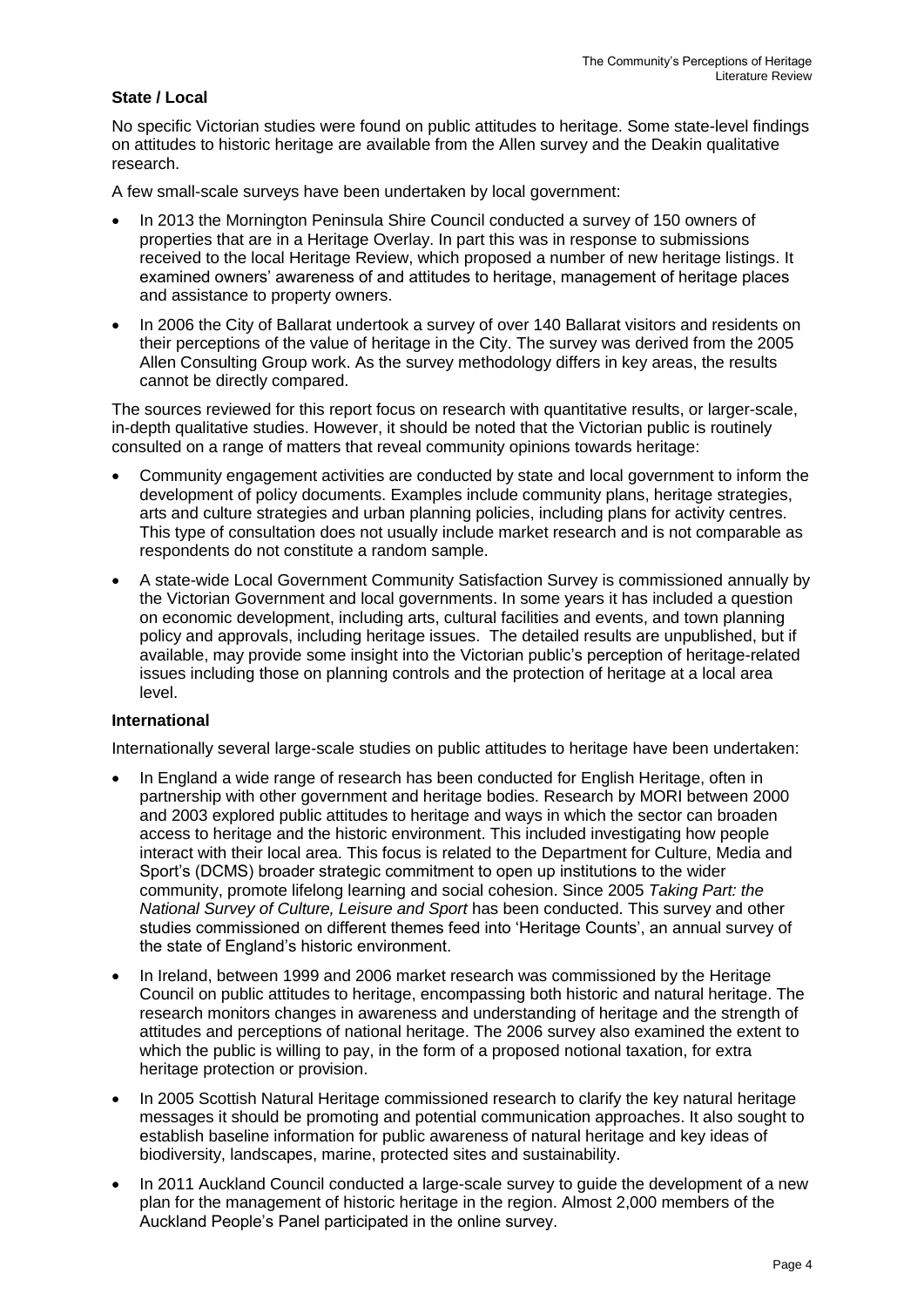#### **State / Local**

No specific Victorian studies were found on public attitudes to heritage. Some state-level findings on attitudes to historic heritage are available from the Allen survey and the Deakin qualitative research.

A few small-scale surveys have been undertaken by local government:

- In 2013 the Mornington Peninsula Shire Council conducted a survey of 150 owners of properties that are in a Heritage Overlay. In part this was in response to submissions received to the local Heritage Review, which proposed a number of new heritage listings. It examined owners' awareness of and attitudes to heritage, management of heritage places and assistance to property owners.
- In 2006 the City of Ballarat undertook a survey of over 140 Ballarat visitors and residents on their perceptions of the value of heritage in the City. The survey was derived from the 2005 Allen Consulting Group work. As the survey methodology differs in key areas, the results cannot be directly compared.

The sources reviewed for this report focus on research with quantitative results, or larger-scale, in-depth qualitative studies. However, it should be noted that the Victorian public is routinely consulted on a range of matters that reveal community opinions towards heritage:

- Community engagement activities are conducted by state and local government to inform the development of policy documents. Examples include community plans, heritage strategies, arts and culture strategies and urban planning policies, including plans for activity centres. This type of consultation does not usually include market research and is not comparable as respondents do not constitute a random sample.
- A state-wide Local Government Community Satisfaction Survey is commissioned annually by the Victorian Government and local governments. In some years it has included a question on economic development, including arts, cultural facilities and events, and town planning policy and approvals, including heritage issues. The detailed results are unpublished, but if available, may provide some insight into the Victorian public's perception of heritage-related issues including those on planning controls and the protection of heritage at a local area level.

#### **International**

Internationally several large-scale studies on public attitudes to heritage have been undertaken:

- In England a wide range of research has been conducted for English Heritage, often in partnership with other government and heritage bodies. Research by MORI between 2000 and 2003 explored public attitudes to heritage and ways in which the sector can broaden access to heritage and the historic environment. This included investigating how people interact with their local area. This focus is related to the Department for Culture, Media and Sport's (DCMS) broader strategic commitment to open up institutions to the wider community, promote lifelong learning and social cohesion. Since 2005 *Taking Part: the National Survey of Culture, Leisure and Sport* has been conducted. This survey and other studies commissioned on different themes feed into 'Heritage Counts', an annual survey of the state of England's historic environment.
- In Ireland, between 1999 and 2006 market research was commissioned by the Heritage Council on public attitudes to heritage, encompassing both historic and natural heritage. The research monitors changes in awareness and understanding of heritage and the strength of attitudes and perceptions of national heritage. The 2006 survey also examined the extent to which the public is willing to pay, in the form of a proposed notional taxation, for extra heritage protection or provision.
- In 2005 Scottish Natural Heritage commissioned research to clarify the key natural heritage messages it should be promoting and potential communication approaches. It also sought to establish baseline information for public awareness of natural heritage and key ideas of biodiversity, landscapes, marine, protected sites and sustainability.
- In 2011 Auckland Council conducted a large-scale survey to guide the development of a new plan for the management of historic heritage in the region. Almost 2,000 members of the Auckland People's Panel participated in the online survey.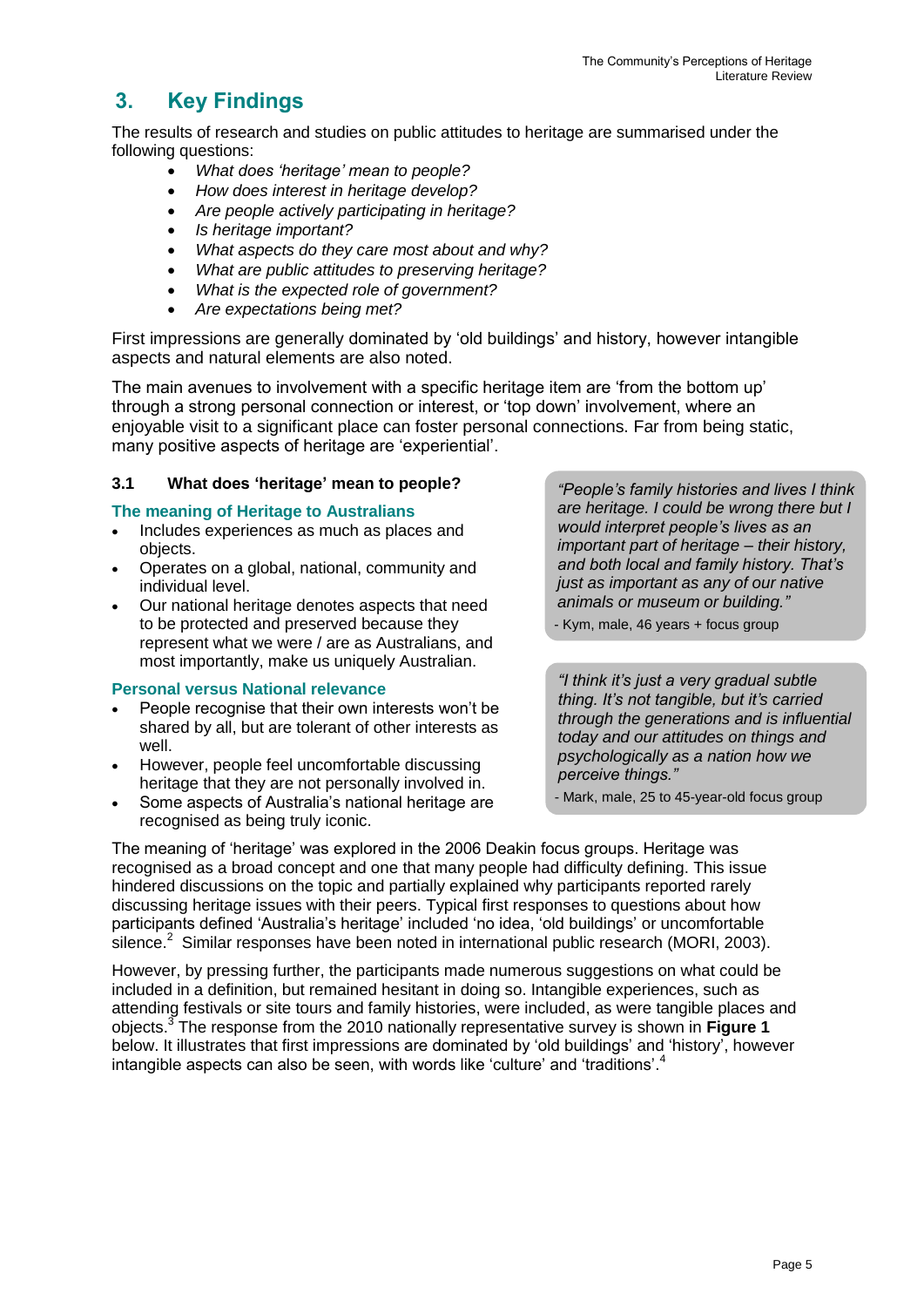## **3. Key Findings**

The results of research and studies on public attitudes to heritage are summarised under the following questions:

- *What does 'heritage' mean to people?*
- *How does interest in heritage develop?*
- *Are people actively participating in heritage?*
- *Is heritage important?*
- *What aspects do they care most about and why?*
- *What are public attitudes to preserving heritage?*
- *What is the expected role of government?*
- *Are expectations being met?*

First impressions are generally dominated by 'old buildings' and history, however intangible aspects and natural elements are also noted.

The main avenues to involvement with a specific heritage item are 'from the bottom up' through a strong personal connection or interest, or 'top down' involvement, where an enjoyable visit to a significant place can foster personal connections. Far from being static, many positive aspects of heritage are 'experiential'.

#### **3.1 What does 'heritage' mean to people?**

#### **The meaning of Heritage to Australians**

- Includes experiences as much as places and objects.
- Operates on a global, national, community and individual level.
- Our national heritage denotes aspects that need to be protected and preserved because they represent what we were / are as Australians, and most importantly, make us uniquely Australian.

#### **Personal versus National relevance**

- People recognise that their own interests won't be shared by all, but are tolerant of other interests as well.
- However, people feel uncomfortable discussing heritage that they are not personally involved in.
- Some aspects of Australia's national heritage are recognised as being truly iconic.

*"People's family histories and lives I think are heritage. I could be wrong there but I would interpret people's lives as an important part of heritage – their history, and both local and family history. That's just as important as any of our native animals or museum or building."*

- Kym, male, 46 years + focus group

*"I think it's just a very gradual subtle thing. It's not tangible, but it's carried through the generations and is influential today and our attitudes on things and psychologically as a nation how we perceive things."*

- Mark, male, 25 to 45-year-old focus group

The meaning of 'heritage' was explored in the 2006 Deakin focus groups. Heritage was recognised as a broad concept and one that many people had difficulty defining. This issue hindered discussions on the topic and partially explained why participants reported rarely discussing heritage issues with their peers. Typical first responses to questions about how participants defined 'Australia's heritage' included 'no idea, 'old buildings' or uncomfortable  $\sin$  Silence.<sup>2</sup> Similar responses have been noted in international public research (MORI, 2003).

However, by pressing further, the participants made numerous suggestions on what could be included in a definition, but remained hesitant in doing so. Intangible experiences, such as attending festivals or site tours and family histories, were included, as were tangible places and objects.<sup>3</sup> The response from the 2010 nationally representative survey is shown in **Figure 1** below. It illustrates that first impressions are dominated by 'old buildings' and 'history', however intangible aspects can also be seen, with words like 'culture' and 'traditions'. 4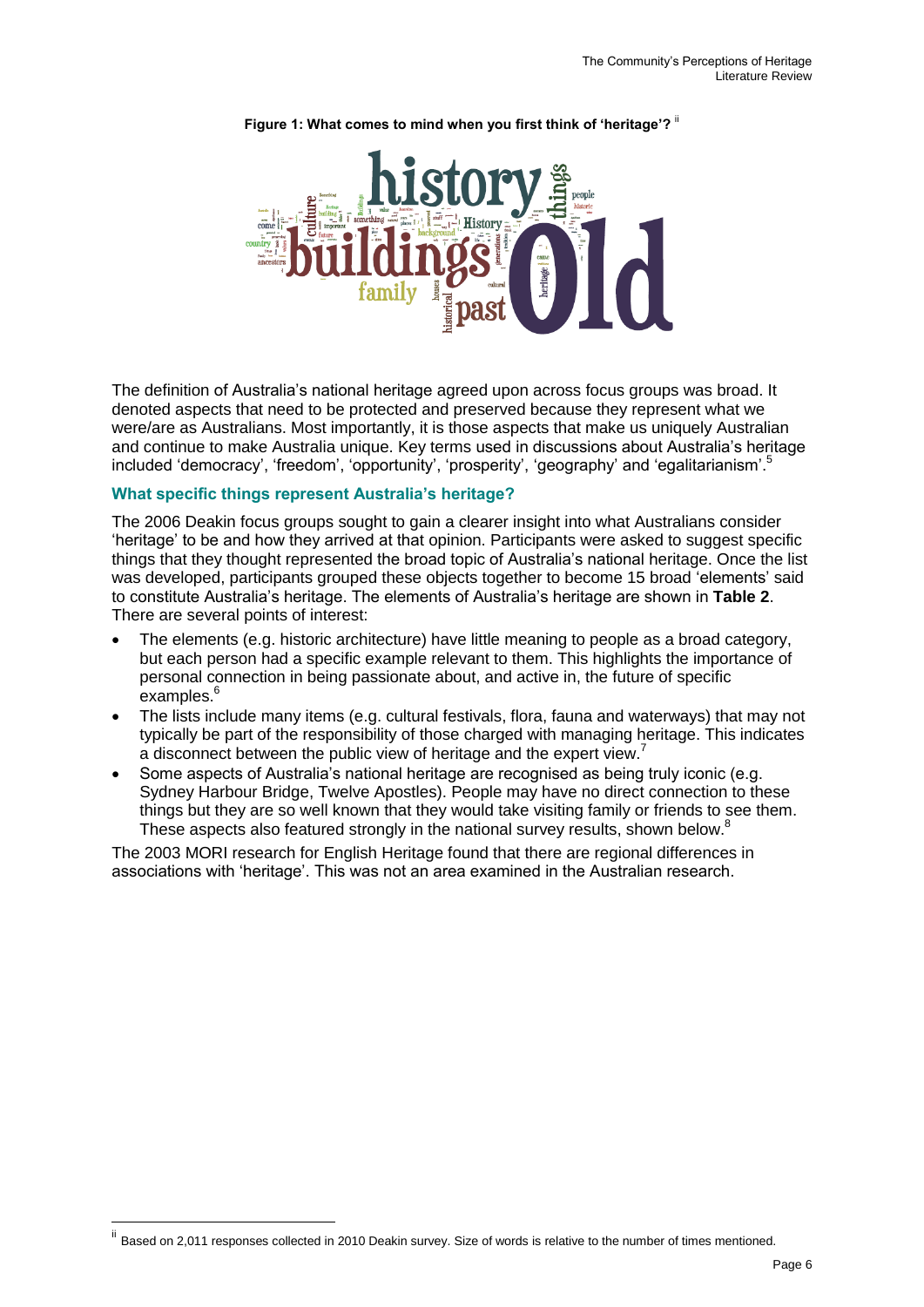

#### Figure 1: What comes to mind when you first think of 'heritage'?<sup>"</sup>

The definition of Australia's national heritage agreed upon across focus groups was broad. It denoted aspects that need to be protected and preserved because they represent what we were/are as Australians. Most importantly, it is those aspects that make us uniquely Australian and continue to make Australia unique. Key terms used in discussions about Australia's heritage included 'democracy', 'freedom', 'opportunity', 'prosperity', 'geography' and 'egalitarianism'.<sup>5</sup>

#### **What specific things represent Australia's heritage?**

The 2006 Deakin focus groups sought to gain a clearer insight into what Australians consider 'heritage' to be and how they arrived at that opinion. Participants were asked to suggest specific things that they thought represented the broad topic of Australia's national heritage. Once the list was developed, participants grouped these objects together to become 15 broad 'elements' said to constitute Australia's heritage. The elements of Australia's heritage are shown in **Table 2**. There are several points of interest:

- The elements (e.g. historic architecture) have little meaning to people as a broad category, but each person had a specific example relevant to them. This highlights the importance of personal connection in being passionate about, and active in, the future of specific examples.<sup>6</sup>
- The lists include many items (e.g. cultural festivals, flora, fauna and waterways) that may not typically be part of the responsibility of those charged with managing heritage. This indicates a disconnect between the public view of heritage and the expert view.<sup>7</sup>
- Some aspects of Australia's national heritage are recognised as being truly iconic (e.g. Sydney Harbour Bridge, Twelve Apostles). People may have no direct connection to these things but they are so well known that they would take visiting family or friends to see them. These aspects also featured strongly in the national survey results, shown below.<sup>8</sup>

The 2003 MORI research for English Heritage found that there are regional differences in associations with 'heritage'. This was not an area examined in the Australian research.

<u>.</u>

ii Based on 2,011 responses collected in 2010 Deakin survey. Size of words is relative to the number of times mentioned.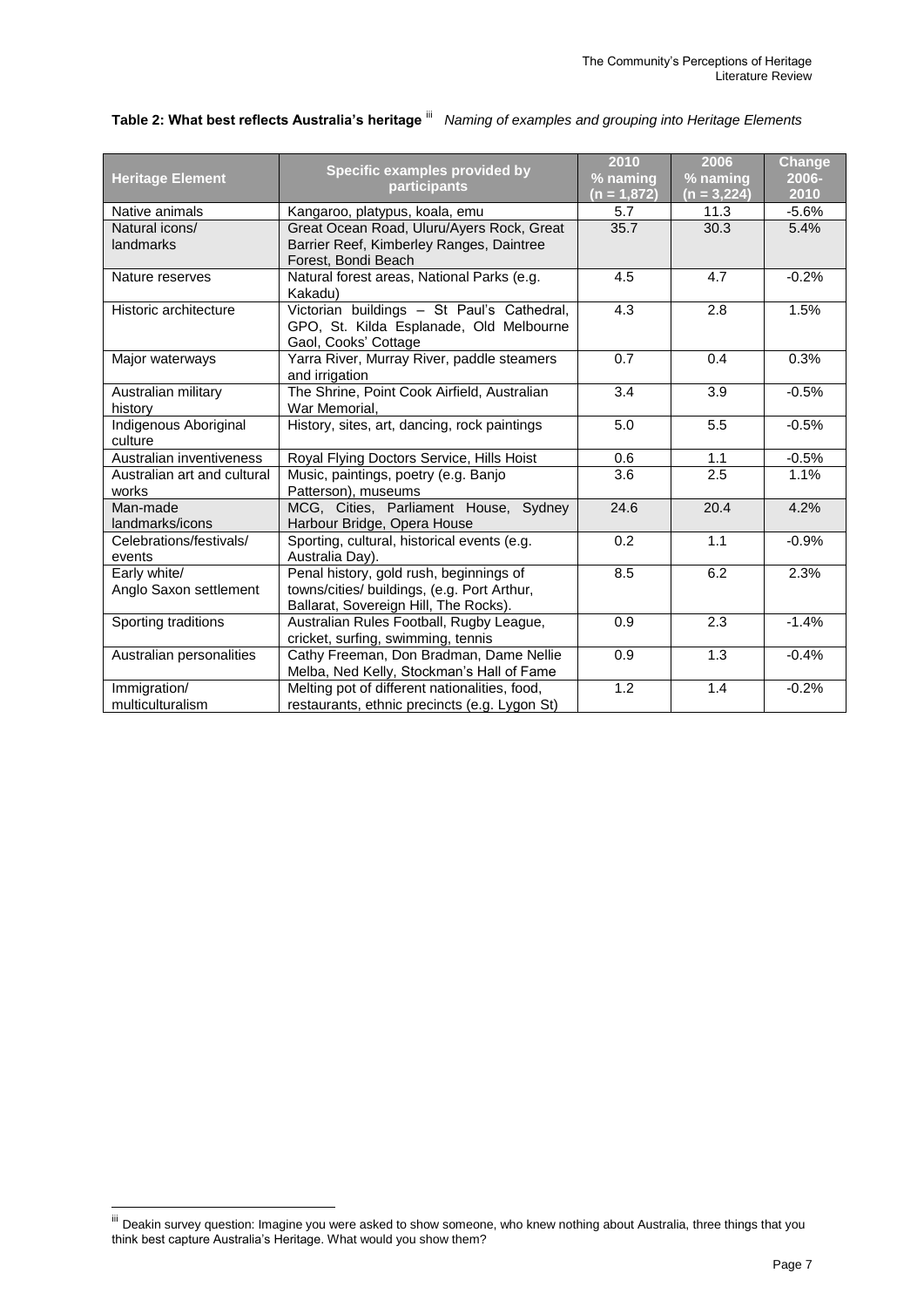|                             | Specific examples provided by                 | 2010        | 2006          | Change  |
|-----------------------------|-----------------------------------------------|-------------|---------------|---------|
| <b>Heritage Element</b>     |                                               | % naming    | % naming      | 2006-   |
|                             | participants                                  | (n = 1,872) | $(n = 3,224)$ | 2010    |
| Native animals              | Kangaroo, platypus, koala, emu                | 5.7         | 11.3          | $-5.6%$ |
| Natural icons/              | Great Ocean Road, Uluru/Ayers Rock, Great     | 35.7        | 30.3          | 5.4%    |
| landmarks                   | Barrier Reef, Kimberley Ranges, Daintree      |             |               |         |
|                             | Forest, Bondi Beach                           |             |               |         |
| Nature reserves             | Natural forest areas, National Parks (e.g.    | 4.5         | 4.7           | $-0.2%$ |
|                             | Kakadu)                                       |             |               |         |
| Historic architecture       | Victorian buildings - St Paul's Cathedral,    | 4.3         | 2.8           | 1.5%    |
|                             | GPO, St. Kilda Esplanade, Old Melbourne       |             |               |         |
|                             | Gaol, Cooks' Cottage                          |             |               |         |
| Major waterways             | Yarra River, Murray River, paddle steamers    | 0.7         | 0.4           | 0.3%    |
|                             | and irrigation                                |             |               |         |
| Australian military         | The Shrine, Point Cook Airfield, Australian   | 3.4         | 3.9           | $-0.5%$ |
| history                     | War Memorial,                                 |             |               |         |
| Indigenous Aboriginal       | History, sites, art, dancing, rock paintings  | 5.0         | 5.5           | $-0.5%$ |
| culture                     |                                               |             |               |         |
| Australian inventiveness    | Royal Flying Doctors Service, Hills Hoist     | 0.6         | 1.1           | $-0.5%$ |
| Australian art and cultural | Music, paintings, poetry (e.g. Banjo          | 3.6         | 2.5           | 1.1%    |
| works                       | Patterson), museums                           |             |               |         |
| Man-made                    | MCG, Cities, Parliament House, Sydney         | 24.6        | 20.4          | 4.2%    |
| landmarks/icons             | Harbour Bridge, Opera House                   |             |               |         |
| Celebrations/festivals/     | Sporting, cultural, historical events (e.g.   | 0.2         | 1.1           | $-0.9%$ |
| events                      | Australia Day).                               |             |               |         |
| Early white/                | Penal history, gold rush, beginnings of       | 8.5         | 6.2           | 2.3%    |
| Anglo Saxon settlement      | towns/cities/ buildings, (e.g. Port Arthur,   |             |               |         |
|                             | Ballarat, Sovereign Hill, The Rocks).         |             |               |         |
| Sporting traditions         | Australian Rules Football, Rugby League,      | 0.9         | 2.3           | $-1.4%$ |
|                             | cricket, surfing, swimming, tennis            |             |               |         |
| Australian personalities    | Cathy Freeman, Don Bradman, Dame Nellie       | 0.9         | 1.3           | $-0.4%$ |
|                             | Melba, Ned Kelly, Stockman's Hall of Fame     |             |               |         |
| Immigration/                | Melting pot of different nationalities, food, | 1.2         | 1.4           | $-0.2%$ |
| multiculturalism            | restaurants, ethnic precincts (e.g. Lygon St) |             |               |         |

#### Table 2: What best reflects Australia's heritage <sup>iii</sup> Naming of examples and grouping into Heritage Elements

<sup>&</sup>lt;sup>iii</sup> Deakin survey question: Imagine you were asked to show someone, who knew nothing about Australia, three things that you think best capture Australia's Heritage. What would you show them?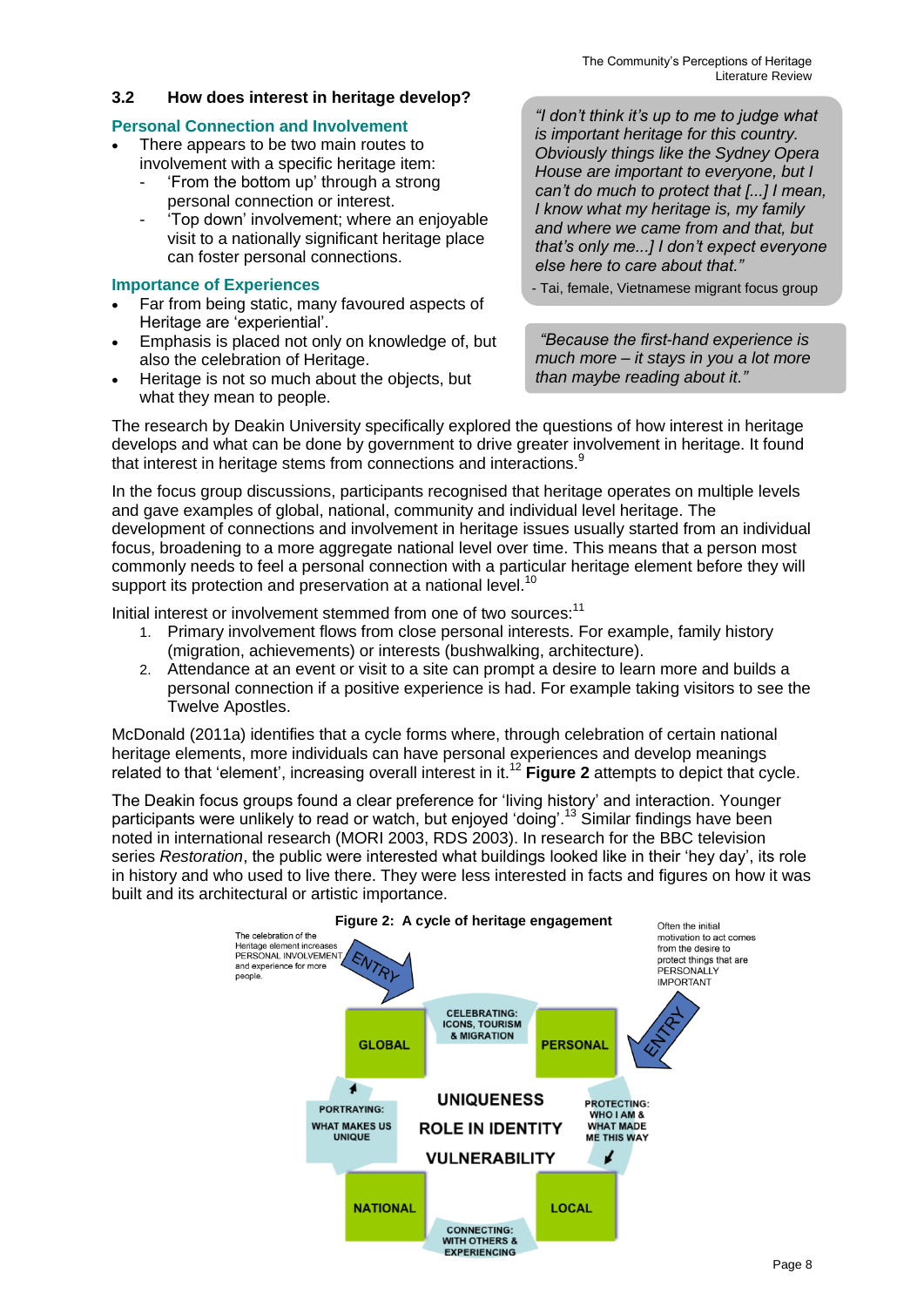#### **3.2 How does interest in heritage develop?**

#### **Personal Connection and Involvement**

- There appears to be two main routes to involvement with a specific heritage item:
	- 'From the bottom up' through a strong personal connection or interest.
	- 'Top down' involvement; where an enjoyable visit to a nationally significant heritage place can foster personal connections.

#### **Importance of Experiences**

- Far from being static, many favoured aspects of Heritage are 'experiential'.
- Emphasis is placed not only on knowledge of, but also the celebration of Heritage.
- Heritage is not so much about the objects, but what they mean to people.

*"I don't think it's up to me to judge what is important heritage for this country. Obviously things like the Sydney Opera House are important to everyone, but I can't do much to protect that [...] I mean, I know what my heritage is, my family and where we came from and that, but that's only me...] I don't expect everyone else here to care about that."*

- Tai, female, Vietnamese migrant focus group

*"Because the first-hand experience is much more – it stays in you a lot more than maybe reading about it."*

The research by Deakin University specifically explored the questions of how interest in heritage develops and what can be done by government to drive greater involvement in heritage. It found that interest in heritage stems from connections and interactions.<sup>8</sup>

In the focus group discussions, participants recognised that heritage operates on multiple levels and gave examples of global, national, community and individual level heritage. The development of connections and involvement in heritage issues usually started from an individual focus, broadening to a more aggregate national level over time. This means that a person most commonly needs to feel a personal connection with a particular heritage element before they will support its protection and preservation at a national level.<sup>10</sup>

Initial interest or involvement stemmed from one of two sources:<sup>11</sup>

- 1. Primary involvement flows from close personal interests. For example, family history (migration, achievements) or interests (bushwalking, architecture).
- 2. Attendance at an event or visit to a site can prompt a desire to learn more and builds a personal connection if a positive experience is had. For example taking visitors to see the Twelve Apostles.

McDonald (2011a) identifies that a cycle forms where, through celebration of certain national heritage elements, more individuals can have personal experiences and develop meanings related to that 'element', increasing overall interest in it.<sup>12</sup> **Figure 2** attempts to depict that cycle.

The Deakin focus groups found a clear preference for 'living history' and interaction. Younger participants were unlikely to read or watch, but enjoyed 'doing'.<sup>13</sup> Similar findings have been noted in international research (MORI 2003, RDS 2003). In research for the BBC television series *Restoration*, the public were interested what buildings looked like in their 'hey day', its role in history and who used to live there. They were less interested in facts and figures on how it was built and its architectural or artistic importance.

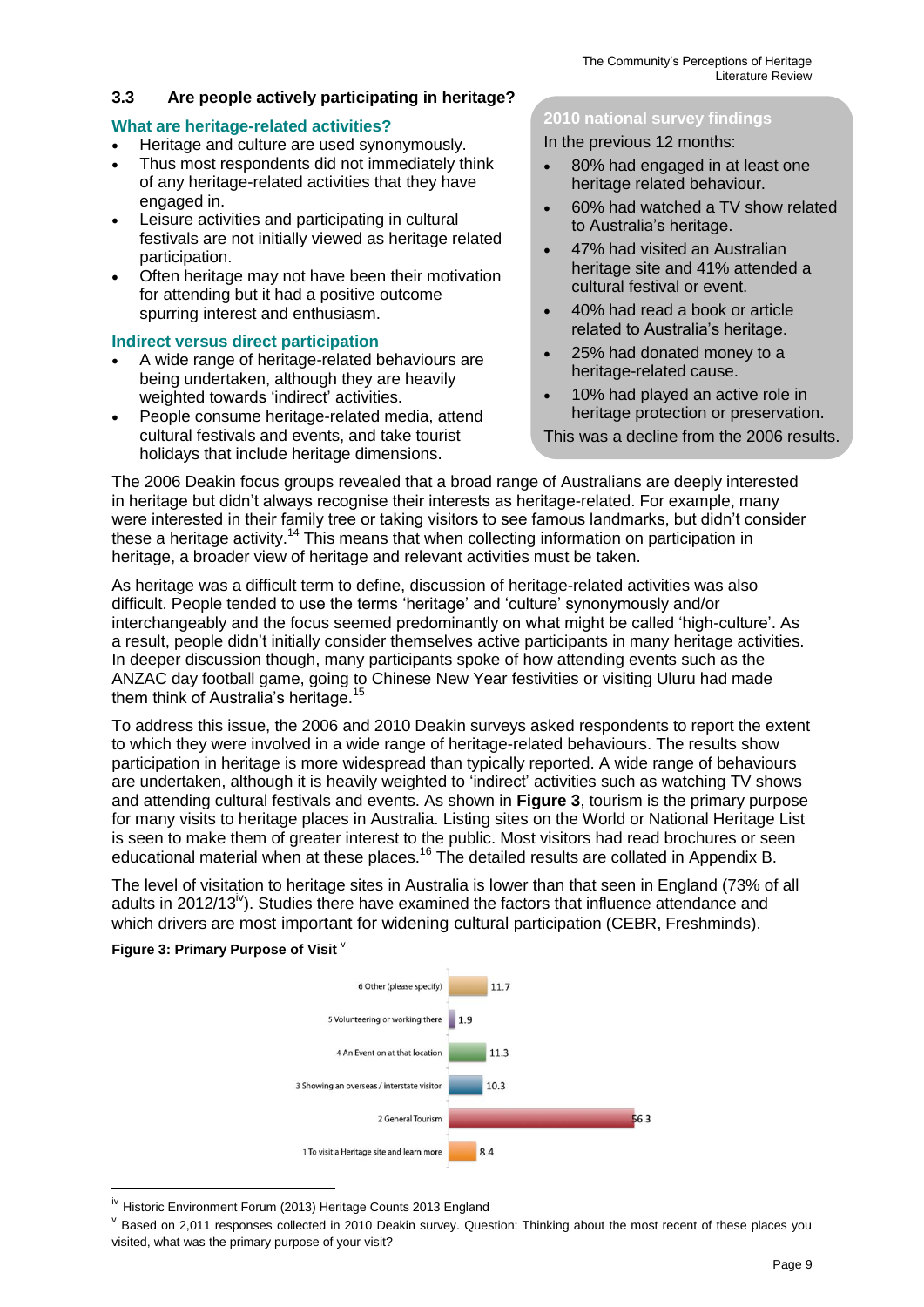#### **3.3 Are people actively participating in heritage?**

#### **What are heritage-related activities?**

- Heritage and culture are used synonymously.
- Thus most respondents did not immediately think of any heritage-related activities that they have engaged in.
- Leisure activities and participating in cultural festivals are not initially viewed as heritage related participation.
- Often heritage may not have been their motivation for attending but it had a positive outcome spurring interest and enthusiasm.

#### **Indirect versus direct participation**

- A wide range of heritage-related behaviours are being undertaken, although they are heavily weighted towards 'indirect' activities.
- People consume heritage-related media, attend cultural festivals and events, and take tourist holidays that include heritage dimensions.

#### **2010 national survey findings**

In the previous 12 months:

- 80% had engaged in at least one heritage related behaviour.
- 60% had watched a TV show related to Australia's heritage.
- 47% had visited an Australian heritage site and 41% attended a cultural festival or event.
- 40% had read a book or article related to Australia's heritage.
- 25% had donated money to a heritage-related cause.
- 10% had played an active role in heritage protection or preservation.
- This was a decline from the 2006 results.

The 2006 Deakin focus groups revealed that a broad range of Australians are deeply interested in heritage but didn't always recognise their interests as heritage-related. For example, many were interested in their family tree or taking visitors to see famous landmarks, but didn't consider these a heritage activity.<sup>14</sup> This means that when collecting information on participation in heritage, a broader view of heritage and relevant activities must be taken.

As heritage was a difficult term to define, discussion of heritage-related activities was also difficult. People tended to use the terms 'heritage' and 'culture' synonymously and/or interchangeably and the focus seemed predominantly on what might be called 'high-culture'. As a result, people didn't initially consider themselves active participants in many heritage activities. In deeper discussion though, many participants spoke of how attending events such as the ANZAC day football game, going to Chinese New Year festivities or visiting Uluru had made them think of Australia's heritage.<sup>15</sup>

To address this issue, the 2006 and 2010 Deakin surveys asked respondents to report the extent to which they were involved in a wide range of heritage-related behaviours. The results show participation in heritage is more widespread than typically reported. A wide range of behaviours are undertaken, although it is heavily weighted to 'indirect' activities such as watching TV shows and attending cultural festivals and events. As shown in **Figure 3**, tourism is the primary purpose for many visits to heritage places in Australia. Listing sites on the World or National Heritage List is seen to make them of greater interest to the public. Most visitors had read brochures or seen educational material when at these places.<sup>16</sup> The detailed results are collated in Appendix B.

The level of visitation to heritage sites in Australia is lower than that seen in England (73% of all adults in  $2012/13^{\nu}$ ). Studies there have examined the factors that influence attendance and which drivers are most important for widening cultural participation (CEBR, Freshminds).

#### **Figure 3: Primary Purpose of Visit** <sup>v</sup>



<sup>&</sup>lt;sup>iv</sup> Historic Environment Forum (2013) Heritage Counts 2013 England

v Based on 2,011 responses collected in 2010 Deakin survey. Question: Thinking about the most recent of these places you visited, what was the primary purpose of your visit?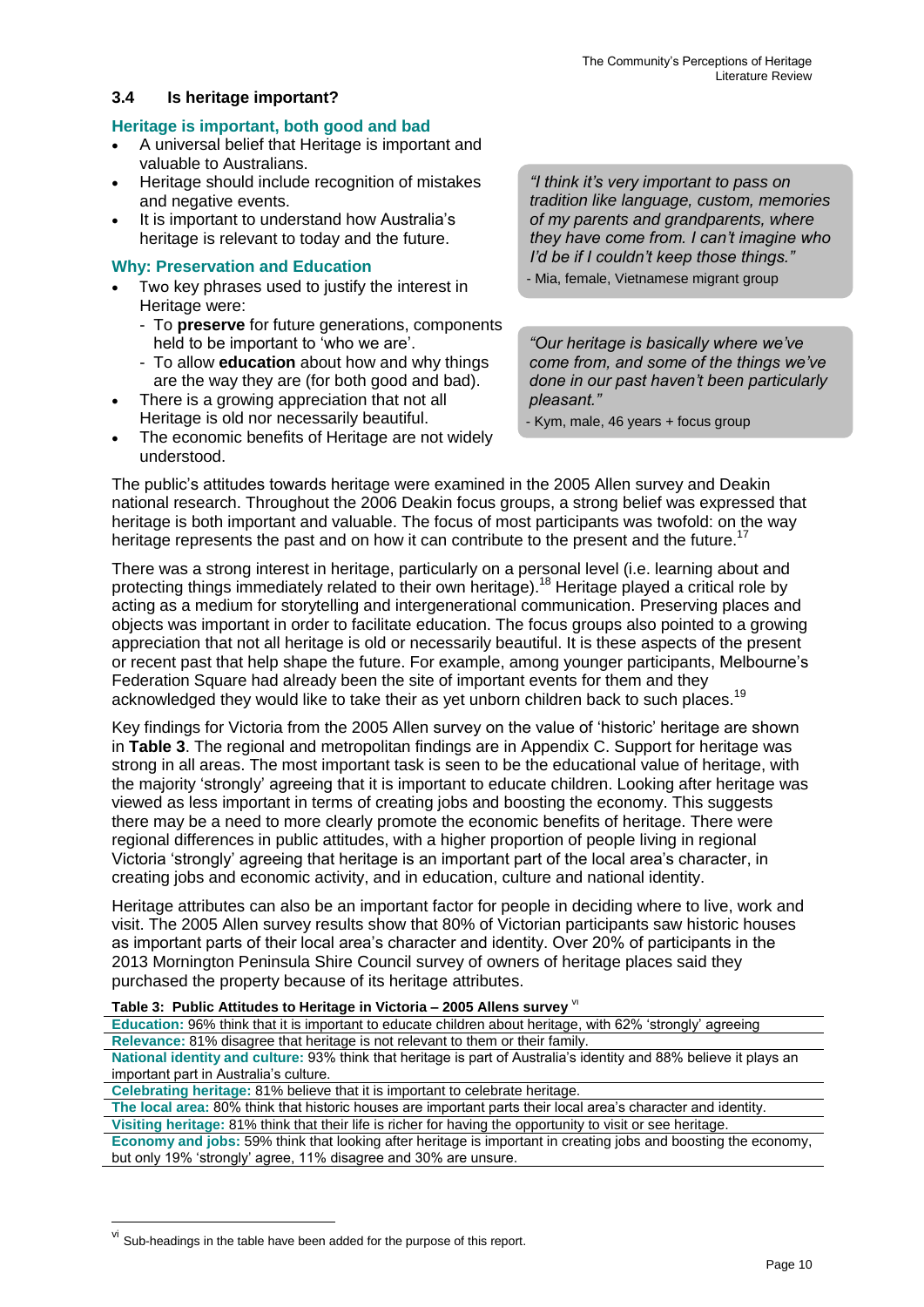#### **3.4 Is heritage important?**

#### **Heritage is important, both good and bad**

- A universal belief that Heritage is important and valuable to Australians.
- Heritage should include recognition of mistakes and negative events.
- It is important to understand how Australia's heritage is relevant to today and the future.

#### **Why: Preservation and Education**

- Two key phrases used to justify the interest in Heritage were:
	- To **preserve** for future generations, components held to be important to 'who we are'.
	- To allow **education** about how and why things are the way they are (for both good and bad).
- There is a growing appreciation that not all Heritage is old nor necessarily beautiful.
- The economic benefits of Heritage are not widely understood.

*"I think it's very important to pass on tradition like language, custom, memories of my parents and grandparents, where they have come from. I can't imagine who I'd be if I couldn't keep those things."* - Mia, female, Vietnamese migrant group

*"Our heritage is basically where we've come from, and some of the things we've done in our past haven't been particularly pleasant."* 

- Kym, male, 46 years + focus group

The public's attitudes towards heritage were examined in the 2005 Allen survey and Deakin national research. Throughout the 2006 Deakin focus groups, a strong belief was expressed that heritage is both important and valuable. The focus of most participants was twofold: on the way heritage represents the past and on how it can contribute to the present and the future.<sup>1</sup>

There was a strong interest in heritage, particularly on a personal level (i.e. learning about and protecting things immediately related to their own heritage).<sup>18</sup> Heritage played a critical role by acting as a medium for storytelling and intergenerational communication. Preserving places and objects was important in order to facilitate education. The focus groups also pointed to a growing appreciation that not all heritage is old or necessarily beautiful. It is these aspects of the present or recent past that help shape the future. For example, among younger participants, Melbourne's Federation Square had already been the site of important events for them and they acknowledged they would like to take their as yet unborn children back to such places.<sup>19</sup>

Key findings for Victoria from the 2005 Allen survey on the value of 'historic' heritage are shown in **Table 3**. The regional and metropolitan findings are in Appendix C. Support for heritage was strong in all areas. The most important task is seen to be the educational value of heritage, with the majority 'strongly' agreeing that it is important to educate children. Looking after heritage was viewed as less important in terms of creating jobs and boosting the economy. This suggests there may be a need to more clearly promote the economic benefits of heritage. There were regional differences in public attitudes, with a higher proportion of people living in regional Victoria 'strongly' agreeing that heritage is an important part of the local area's character, in creating jobs and economic activity, and in education, culture and national identity.

Heritage attributes can also be an important factor for people in deciding where to live, work and visit. The 2005 Allen survey results show that 80% of Victorian participants saw historic houses as important parts of their local area's character and identity. Over 20% of participants in the 2013 Mornington Peninsula Shire Council survey of owners of heritage places said they purchased the property because of its heritage attributes.

#### **Table 3: Public Attitudes to Heritage in Victoria – 2005 Allens survey** vi

**Education:** 96% think that it is important to educate children about heritage, with 62% 'strongly' agreeing **Relevance:** 81% disagree that heritage is not relevant to them or their family.

**National identity and culture:** 93% think that heritage is part of Australia's identity and 88% believe it plays an important part in Australia's culture.

**Celebrating heritage:** 81% believe that it is important to celebrate heritage.

**The local area:** 80% think that historic houses are important parts their local area's character and identity. **Visiting heritage:** 81% think that their life is richer for having the opportunity to visit or see heritage.

**Economy and jobs:** 59% think that looking after heritage is important in creating jobs and boosting the economy, but only 19% 'strongly' agree, 11% disagree and 30% are unsure.

<u>.</u>

<sup>&</sup>lt;sup>vi</sup> Sub-headings in the table have been added for the purpose of this report.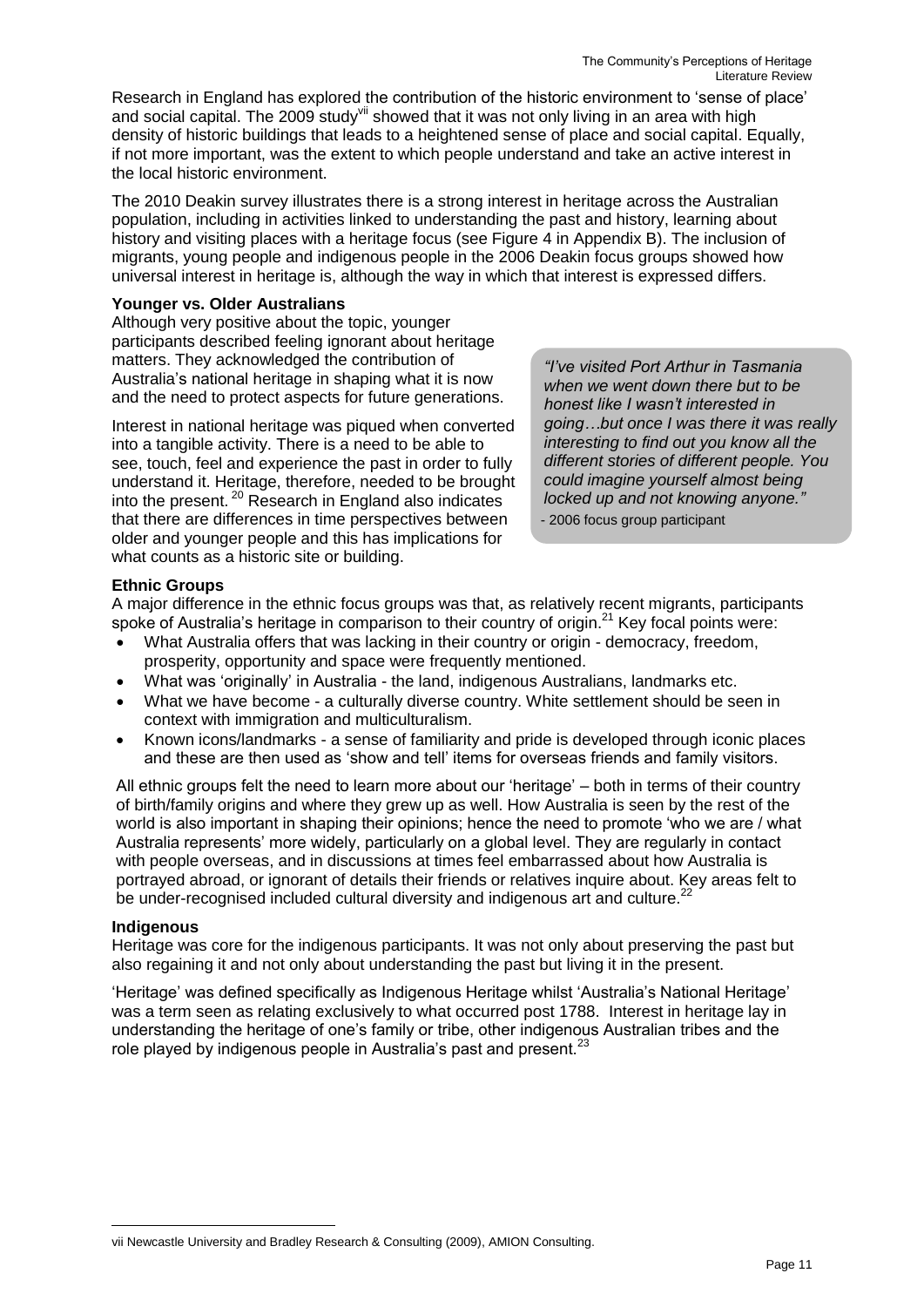Research in England has explored the contribution of the historic environment to 'sense of place' and social capital. The 2009 study<sup>vii</sup> showed that it was not only living in an area with high density of historic buildings that leads to a heightened sense of place and social capital. Equally, if not more important, was the extent to which people understand and take an active interest in the local historic environment.

The 2010 Deakin survey illustrates there is a strong interest in heritage across the Australian population, including in activities linked to understanding the past and history, learning about history and visiting places with a heritage focus (see Figure 4 in Appendix B). The inclusion of migrants, young people and indigenous people in the 2006 Deakin focus groups showed how universal interest in heritage is, although the way in which that interest is expressed differs.

#### **Younger vs. Older Australians**

Although very positive about the topic, younger participants described feeling ignorant about heritage matters. They acknowledged the contribution of Australia's national heritage in shaping what it is now and the need to protect aspects for future generations.

Interest in national heritage was piqued when converted into a tangible activity. There is a need to be able to see, touch, feel and experience the past in order to fully understand it. Heritage, therefore, needed to be brought into the present. <sup>20</sup> Research in England also indicates that there are differences in time perspectives between older and younger people and this has implications for what counts as a historic site or building.

*"I've visited Port Arthur in Tasmania when we went down there but to be honest like I wasn't interested in going…but once I was there it was really interesting to find out you know all the different stories of different people. You could imagine yourself almost being locked up and not knowing anyone."*

- 2006 focus group participant

#### **Ethnic Groups**

A major difference in the ethnic focus groups was that, as relatively recent migrants, participants spoke of Australia's heritage in comparison to their country of origin.<sup>21</sup> Key focal points were:

- What Australia offers that was lacking in their country or origin democracy, freedom, prosperity, opportunity and space were frequently mentioned.
- What was 'originally' in Australia the land, indigenous Australians, landmarks etc.
- What we have become a culturally diverse country. White settlement should be seen in context with immigration and multiculturalism.
- Known icons/landmarks a sense of familiarity and pride is developed through iconic places and these are then used as 'show and tell' items for overseas friends and family visitors.

All ethnic groups felt the need to learn more about our 'heritage' – both in terms of their country of birth/family origins and where they grew up as well. How Australia is seen by the rest of the world is also important in shaping their opinions; hence the need to promote 'who we are / what Australia represents' more widely, particularly on a global level. They are regularly in contact with people overseas, and in discussions at times feel embarrassed about how Australia is portrayed abroad, or ignorant of details their friends or relatives inquire about. Key areas felt to be under-recognised included cultural diversity and indigenous art and culture.<sup>2</sup>

#### **Indigenous**

1

Heritage was core for the indigenous participants. It was not only about preserving the past but also regaining it and not only about understanding the past but living it in the present.

'Heritage' was defined specifically as Indigenous Heritage whilst 'Australia's National Heritage' was a term seen as relating exclusively to what occurred post 1788. Interest in heritage lay in understanding the heritage of one's family or tribe, other indigenous Australian tribes and the role played by indigenous people in Australia's past and present.<sup>23</sup>

vii Newcastle University and Bradley Research & Consulting (2009), AMION Consulting.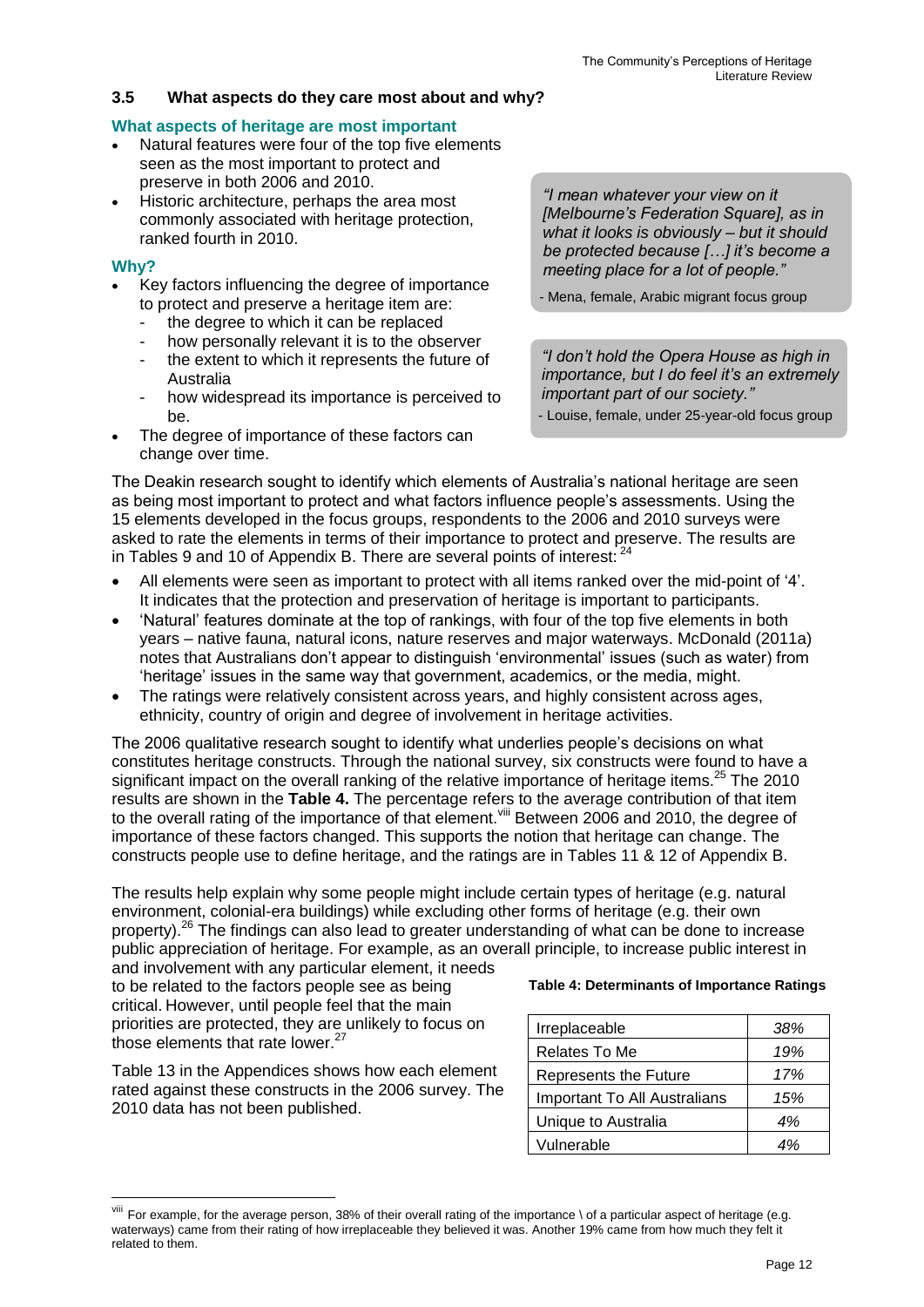#### **3.5 What aspects do they care most about and why?**

#### **What aspects of heritage are most important**

- Natural features were four of the top five elements seen as the most important to protect and preserve in both 2006 and 2010.
- Historic architecture, perhaps the area most commonly associated with heritage protection, ranked fourth in 2010.

#### **Why?**

1

- Key factors influencing the degree of importance to protect and preserve a heritage item are:
	- the degree to which it can be replaced
	- how personally relevant it is to the observer the extent to which it represents the future of Australia
	- how widespread its importance is perceived to be.
- The degree of importance of these factors can change over time.

*"I mean whatever your view on it [Melbourne's Federation Square], as in what it looks is obviously – but it should be protected because […] it's become a meeting place for a lot of people."*

- Mena, female, Arabic migrant focus group

*"I don't hold the Opera House as high in importance, but I do feel it's an extremely important part of our society."*

- Louise, female, under 25-year-old focus group

The Deakin research sought to identify which elements of Australia's national heritage are seen as being most important to protect and what factors influence people's assessments. Using the 15 elements developed in the focus groups, respondents to the 2006 and 2010 surveys were asked to rate the elements in terms of their importance to protect and preserve. The results are in Tables 9 and 10 of Appendix B. There are several points of interest:  $24$ 

- All elements were seen as important to protect with all items ranked over the mid-point of '4'. It indicates that the protection and preservation of heritage is important to participants.
- 'Natural' features dominate at the top of rankings, with four of the top five elements in both years – native fauna, natural icons, nature reserves and major waterways. McDonald (2011a) notes that Australians don't appear to distinguish 'environmental' issues (such as water) from 'heritage' issues in the same way that government, academics, or the media, might.
- The ratings were relatively consistent across years, and highly consistent across ages, ethnicity, country of origin and degree of involvement in heritage activities.

The 2006 qualitative research sought to identify what underlies people's decisions on what constitutes heritage constructs. Through the national survey, six constructs were found to have a significant impact on the overall ranking of the relative importance of heritage items.<sup>25</sup> The 2010 results are shown in the **Table 4.** The percentage refers to the average contribution of that item to the overall rating of the importance of that element. Vill Between 2006 and 2010, the degree of importance of these factors changed. This supports the notion that heritage can change. The constructs people use to define heritage, and the ratings are in Tables 11 & 12 of Appendix B.

The results help explain why some people might include certain types of heritage (e.g. natural environment, colonial-era buildings) while excluding other forms of heritage (e.g. their own property).<sup>26</sup> The findings can also lead to greater understanding of what can be done to increase public appreciation of heritage. For example, as an overall principle, to increase public interest in and involvement with any particular element, it needs

to be related to the factors people see as being critical. However, until people feel that the main priorities are protected, they are unlikely to focus on those elements that rate lower. $27$ 

Table 13 in the Appendices shows how each element rated against these constructs in the 2006 survey. The 2010 data has not been published.

#### **Table 4: Determinants of Importance Ratings**

| Irreplaceable                | .38% |
|------------------------------|------|
| Relates To Me                | 19%  |
| Represents the Future        | 17%  |
| Important To All Australians | 15%  |
| Unique to Australia          | 4%   |
| Vulnerable                   |      |

For example, for the average person, 38% of their overall rating of the importance \ of a particular aspect of heritage (e.g. waterways) came from their rating of how irreplaceable they believed it was. Another 19% came from how much they felt it related to them.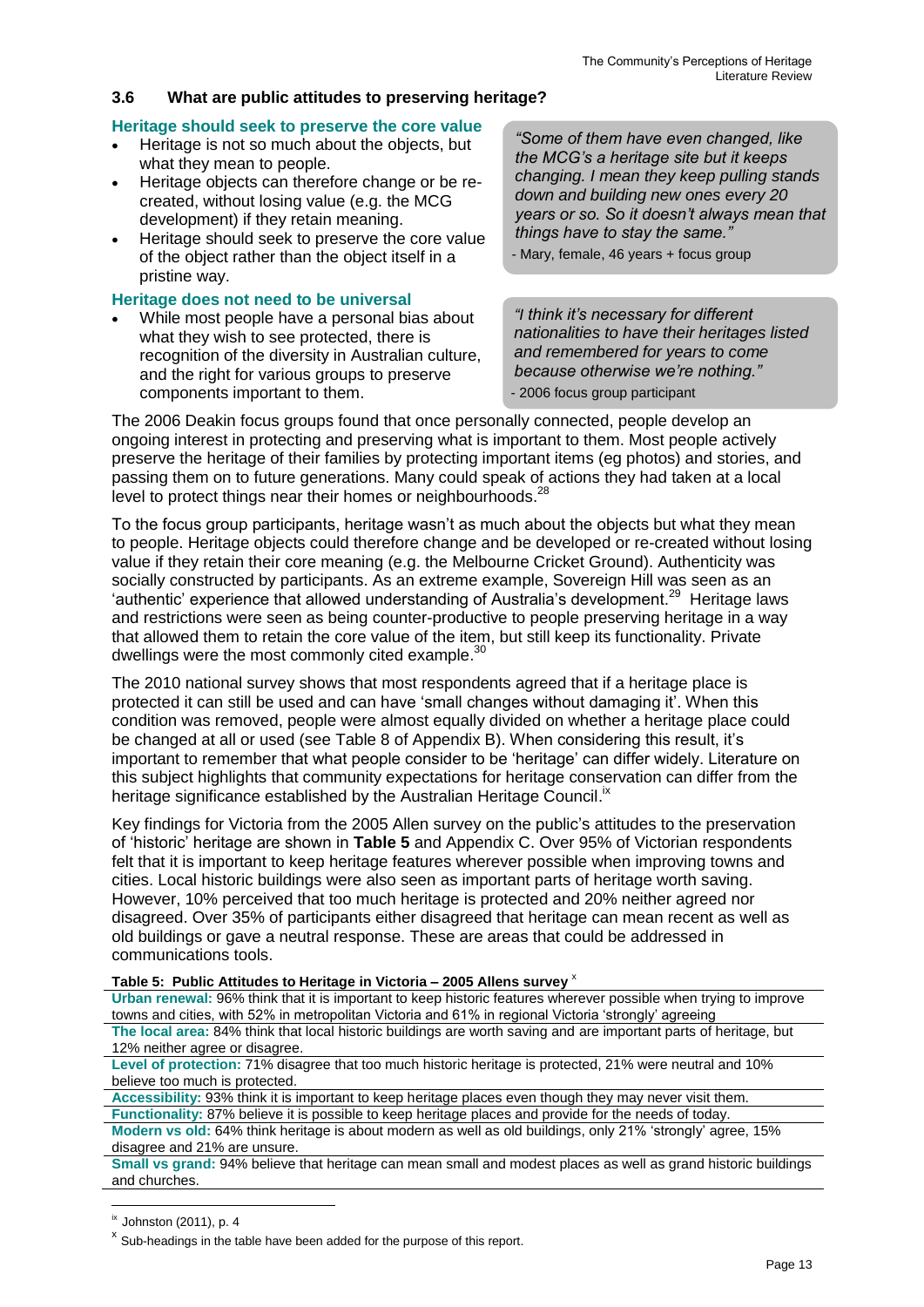#### **3.6 What are public attitudes to preserving heritage?**

#### **Heritage should seek to preserve the core value**

- Heritage is not so much about the objects, but what they mean to people.
- Heritage objects can therefore change or be recreated, without losing value (e.g. the MCG development) if they retain meaning.
- Heritage should seek to preserve the core value of the object rather than the object itself in a pristine way.

#### **Heritage does not need to be universal**

 While most people have a personal bias about what they wish to see protected, there is recognition of the diversity in Australian culture, and the right for various groups to preserve components important to them.

*"Some of them have even changed, like the MCG's a heritage site but it keeps changing. I mean they keep pulling stands down and building new ones every 20 years or so. So it doesn't always mean that things have to stay the same."*

- Mary, female, 46 years + focus group

*"I think it's necessary for different nationalities to have their heritages listed and remembered for years to come because otherwise we're nothing."* - 2006 focus group participant

The 2006 Deakin focus groups found that once personally connected, people develop an ongoing interest in protecting and preserving what is important to them. Most people actively preserve the heritage of their families by protecting important items (eg photos) and stories, and passing them on to future generations. Many could speak of actions they had taken at a local level to protect things near their homes or neighbourhoods.<sup>28</sup>

To the focus group participants, heritage wasn't as much about the objects but what they mean to people. Heritage objects could therefore change and be developed or re-created without losing value if they retain their core meaning (e.g. the Melbourne Cricket Ground). Authenticity was socially constructed by participants. As an extreme example, Sovereign Hill was seen as an 'authentic' experience that allowed understanding of Australia's development.<sup>29</sup> Heritage laws and restrictions were seen as being counter-productive to people preserving heritage in a way that allowed them to retain the core value of the item, but still keep its functionality. Private dwellings were the most commonly cited example.<sup>30</sup>

The 2010 national survey shows that most respondents agreed that if a heritage place is protected it can still be used and can have 'small changes without damaging it'. When this condition was removed, people were almost equally divided on whether a heritage place could be changed at all or used (see Table 8 of Appendix B). When considering this result, it's important to remember that what people consider to be 'heritage' can differ widely. Literature on this subject highlights that community expectations for heritage conservation can differ from the heritage significance established by the Australian Heritage Council.<sup>ix</sup>

Key findings for Victoria from the 2005 Allen survey on the public's attitudes to the preservation of 'historic' heritage are shown in **Table 5** and Appendix C. Over 95% of Victorian respondents felt that it is important to keep heritage features wherever possible when improving towns and cities. Local historic buildings were also seen as important parts of heritage worth saving. However, 10% perceived that too much heritage is protected and 20% neither agreed nor disagreed. Over 35% of participants either disagreed that heritage can mean recent as well as old buildings or gave a neutral response. These are areas that could be addressed in communications tools.

**Table 5: Public Attitudes to Heritage in Victoria – 2005 Allens survey** <sup>x</sup>

**Urban renewal:** 96% think that it is important to keep historic features wherever possible when trying to improve towns and cities, with 52% in metropolitan Victoria and 61% in regional Victoria 'strongly' agreeing

**The local area:** 84% think that local historic buildings are worth saving and are important parts of heritage, but 12% neither agree or disagree.

**Level of protection:** 71% disagree that too much historic heritage is protected, 21% were neutral and 10% believe too much is protected.

**Accessibility:** 93% think it is important to keep heritage places even though they may never visit them.

**Functionality:** 87% believe it is possible to keep heritage places and provide for the needs of today. **Modern vs old:** 64% think heritage is about modern as well as old buildings, only 21% 'strongly' agree, 15%

disagree and 21% are unsure.

**Small vs grand:** 94% believe that heritage can mean small and modest places as well as grand historic buildings and churches.

 $\frac{1}{x}$  Johnston (2011), p. 4

 $x$  Sub-headings in the table have been added for the purpose of this report.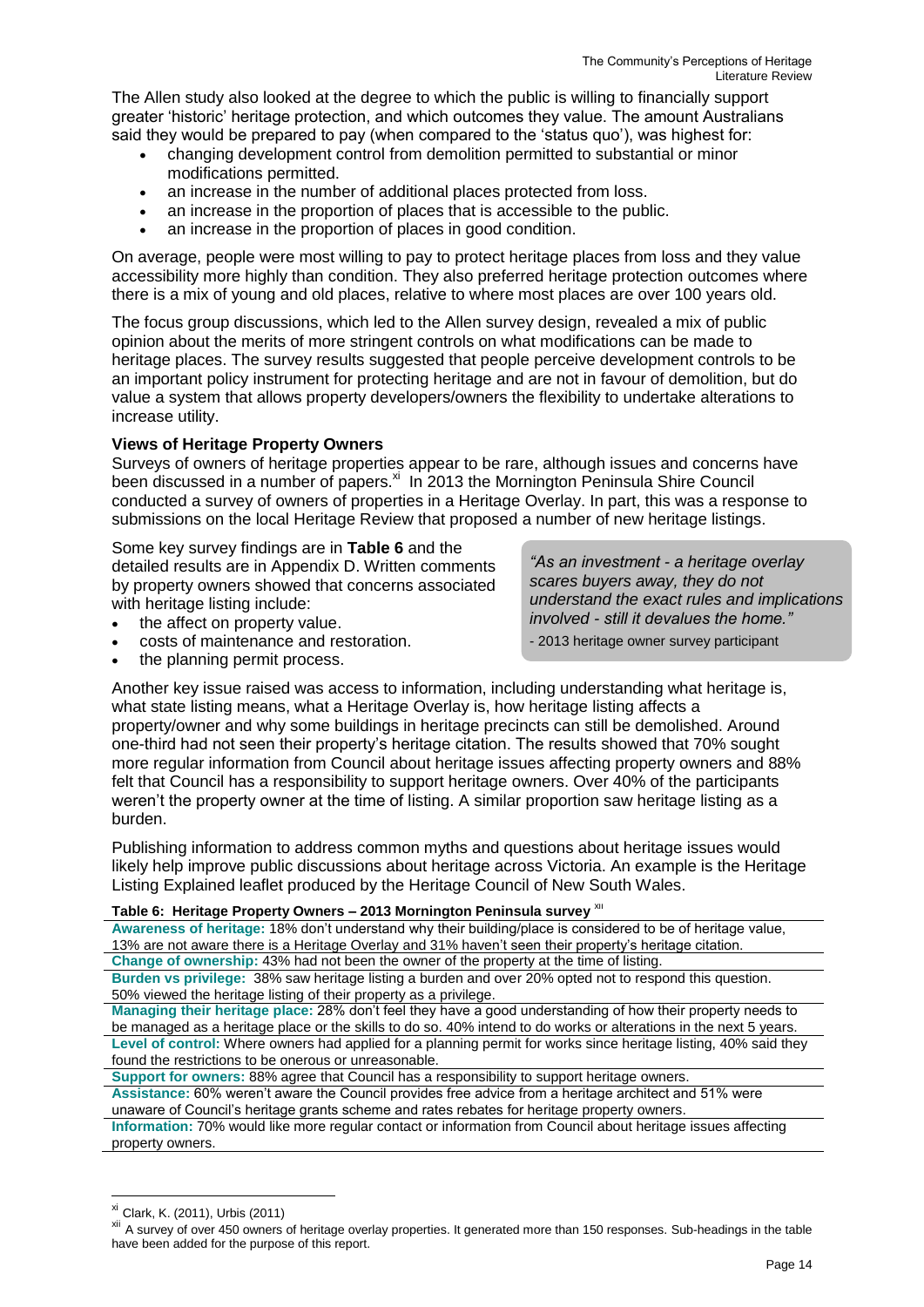The Allen study also looked at the degree to which the public is willing to financially support greater 'historic' heritage protection, and which outcomes they value. The amount Australians said they would be prepared to pay (when compared to the 'status quo'), was highest for:

- changing development control from demolition permitted to substantial or minor modifications permitted.
- an increase in the number of additional places protected from loss.
- an increase in the proportion of places that is accessible to the public.
- an increase in the proportion of places in good condition.

On average, people were most willing to pay to protect heritage places from loss and they value accessibility more highly than condition. They also preferred heritage protection outcomes where there is a mix of young and old places, relative to where most places are over 100 years old.

The focus group discussions, which led to the Allen survey design, revealed a mix of public opinion about the merits of more stringent controls on what modifications can be made to heritage places. The survey results suggested that people perceive development controls to be an important policy instrument for protecting heritage and are not in favour of demolition, but do value a system that allows property developers/owners the flexibility to undertake alterations to increase utility.

#### **Views of Heritage Property Owners**

Surveys of owners of heritage properties appear to be rare, although issues and concerns have been discussed in a number of papers.<sup>xi</sup> In 2013 the Mornington Peninsula Shire Council conducted a survey of owners of properties in a Heritage Overlay. In part, this was a response to submissions on the local Heritage Review that proposed a number of new heritage listings.

#### Some key survey findings are in **Table 6** and the

detailed results are in Appendix D. Written comments by property owners showed that concerns associated with heritage listing include:

- the affect on property value.
- costs of maintenance and restoration.
- the planning permit process.

*"As an investment - a heritage overlay scares buyers away, they do not understand the exact rules and implications involved - still it devalues the home."*

- 2013 heritage owner survey participant

Another key issue raised was access to information, including understanding what heritage is, what state listing means, what a Heritage Overlay is, how heritage listing affects a property/owner and why some buildings in heritage precincts can still be demolished. Around one-third had not seen their property's heritage citation. The results showed that 70% sought more regular information from Council about heritage issues affecting property owners and 88% felt that Council has a responsibility to support heritage owners. Over 40% of the participants weren't the property owner at the time of listing. A similar proportion saw heritage listing as a burden.

Publishing information to address common myths and questions about heritage issues would likely help improve public discussions about heritage across Victoria. An example is the Heritage Listing Explained leaflet produced by the Heritage Council of New South Wales.

#### **Table 6: Heritage Property Owners – 2013 Mornington Peninsula survey** xii

**Awareness of heritage:** 18% don't understand why their building/place is considered to be of heritage value, 13% are not aware there is a Heritage Overlay and 31% haven't seen their property's heritage citation. **Change of ownership:** 43% had not been the owner of the property at the time of listing.

**Burden vs privilege:** 38% saw heritage listing a burden and over 20% opted not to respond this question. 50% viewed the heritage listing of their property as a privilege.

**Managing their heritage place:** 28% don't feel they have a good understanding of how their property needs to be managed as a heritage place or the skills to do so. 40% intend to do works or alterations in the next 5 years. **Level of control:** Where owners had applied for a planning permit for works since heritage listing, 40% said they found the restrictions to be onerous or unreasonable.

**Support for owners:** 88% agree that Council has a responsibility to support heritage owners.

**Assistance:** 60% weren't aware the Council provides free advice from a heritage architect and 51% were unaware of Council's heritage grants scheme and rates rebates for heritage property owners.

**Information:** 70% would like more regular contact or information from Council about heritage issues affecting property owners.

xi Clark, K. (2011), Urbis (2011)

xii A survey of over 450 owners of heritage overlay properties. It generated more than 150 responses. Sub-headings in the table have been added for the purpose of this report.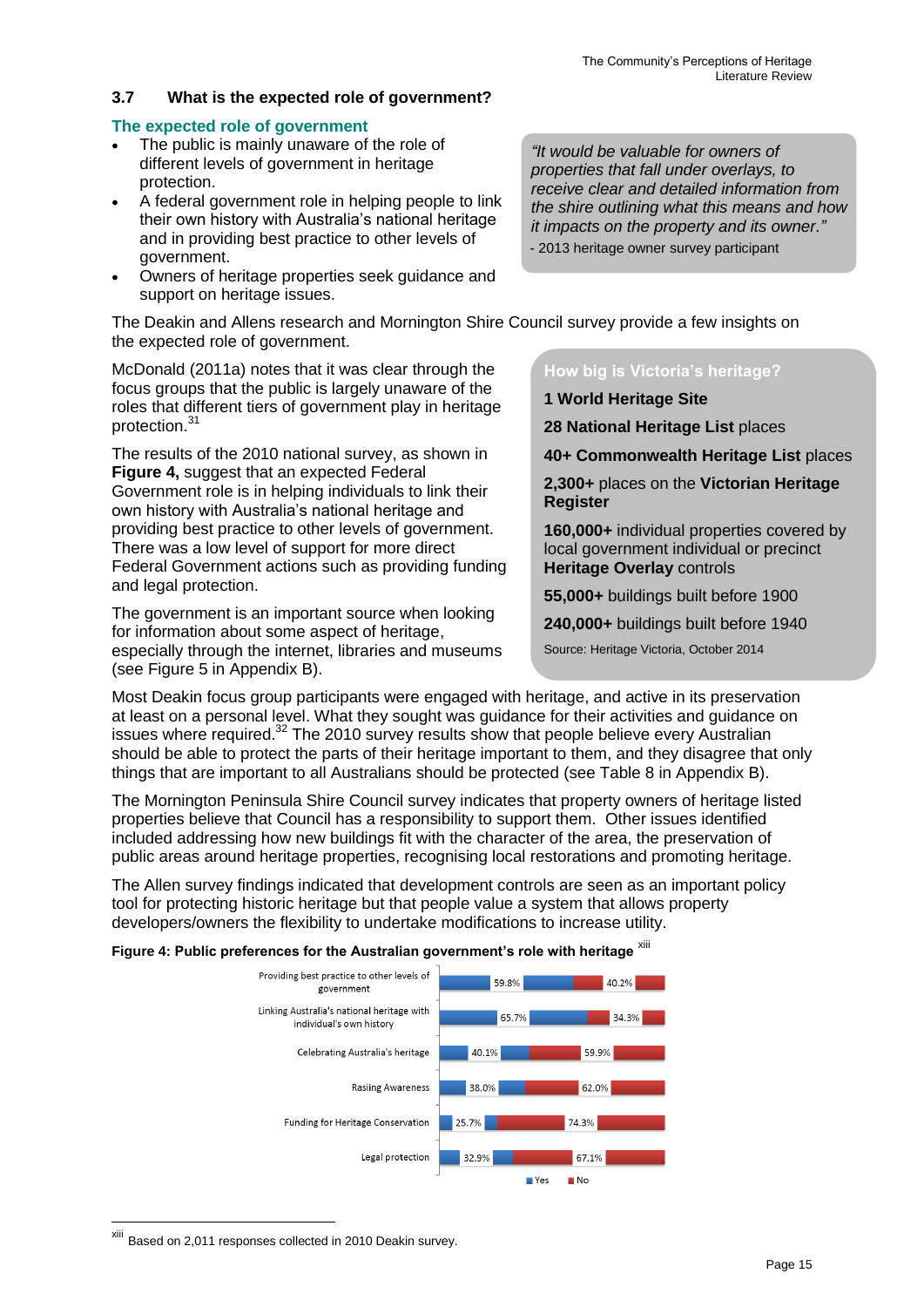#### **3.7 What is the expected role of government?**

#### **The expected role of government**

- The public is mainly unaware of the role of different levels of government in heritage protection.
- A federal government role in helping people to link their own history with Australia's national heritage and in providing best practice to other levels of government.
- Owners of heritage properties seek guidance and support on heritage issues.

*properties that fall under overlays, to receive clear and detailed information from the shire outlining what this means and how it impacts on the property and its owner."* - 2013 heritage owner survey participant

*"It would be valuable for owners of* 

The Deakin and Allens research and Mornington Shire Council survey provide a few insights on the expected role of government.

McDonald (2011a) notes that it was clear through the focus groups that the public is largely unaware of the roles that different tiers of government play in heritage protection.<sup>31</sup>

The results of the 2010 national survey, as shown in **Figure 4,** suggest that an expected Federal Government role is in helping individuals to link their own history with Australia's national heritage and providing best practice to other levels of government. There was a low level of support for more direct Federal Government actions such as providing funding and legal protection.

The government is an important source when looking for information about some aspect of heritage, especially through the internet, libraries and museums (see Figure 5 in Appendix B).

**How big is Victoria's heritage?**

**1 World Heritage Site** 

**28 National Heritage List** places

**40+ Commonwealth Heritage List** places

**2,300+** places on the **Victorian Heritage Register**

**160,000+** individual properties covered by local government individual or precinct **Heritage Overlay** controls

**55,000+** buildings built before 1900

**240,000+** buildings built before 1940

Source: Heritage Victoria, October 2014

Most Deakin focus group participants were engaged with heritage, and active in its preservation at least on a personal level. What they sought was guidance for their activities and guidance on issues where required.<sup>32</sup> The 2010 survey results show that people believe every Australian should be able to protect the parts of their heritage important to them, and they disagree that only things that are important to all Australians should be protected (see Table 8 in Appendix B).

The Mornington Peninsula Shire Council survey indicates that property owners of heritage listed properties believe that Council has a responsibility to support them. Other issues identified included addressing how new buildings fit with the character of the area, the preservation of public areas around heritage properties, recognising local restorations and promoting heritage.

The Allen survey findings indicated that development controls are seen as an important policy tool for protecting historic heritage but that people value a system that allows property developers/owners the flexibility to undertake modifications to increase utility.

Figure 4: Public preferences for the Australian government's role with heritage xill



xiii Based on 2,011 responses collected in 2010 Deakin survey.

<u>.</u>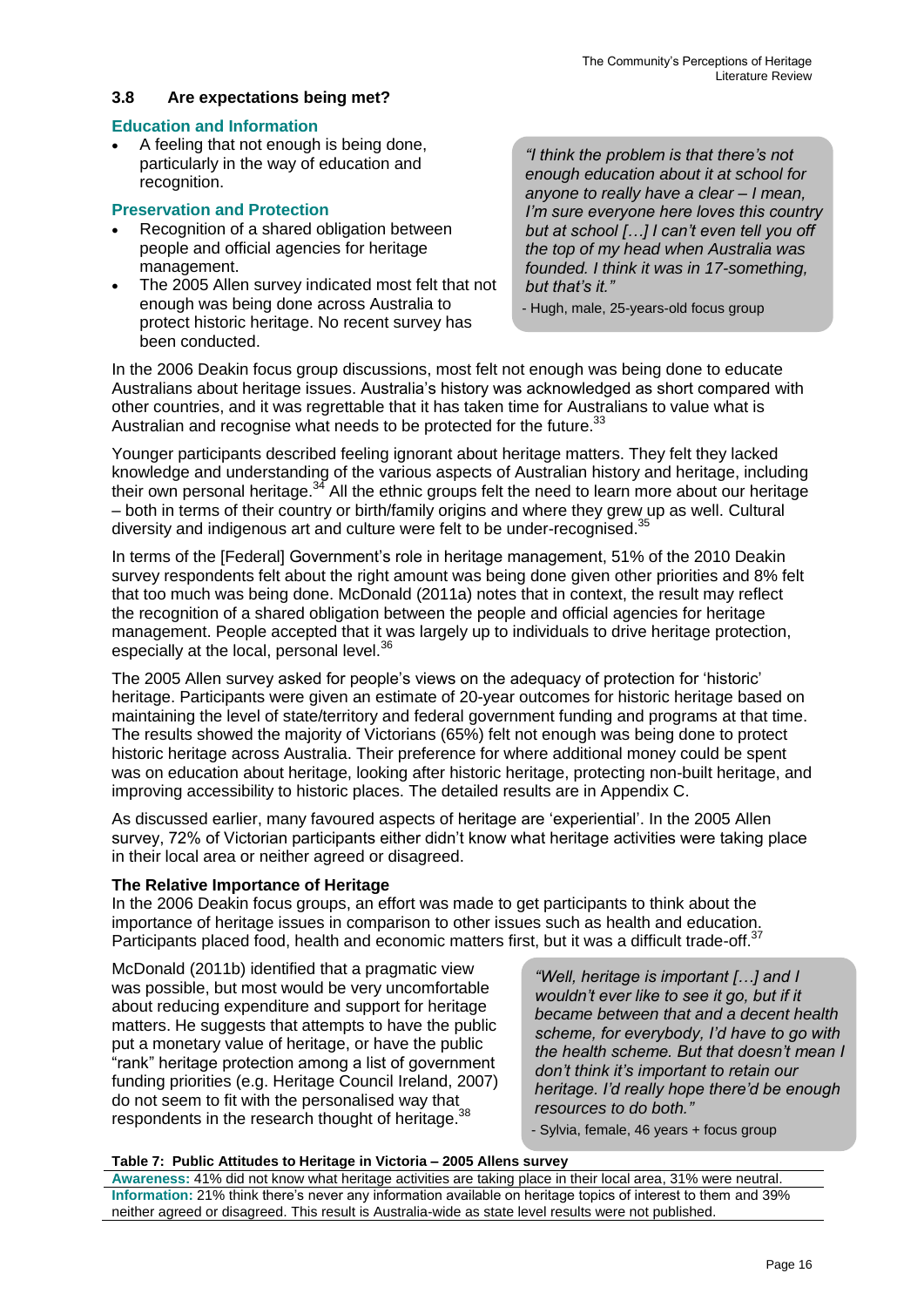#### **3.8 Are expectations being met?**

#### **Education and Information**

 A feeling that not enough is being done, particularly in the way of education and recognition.

#### **Preservation and Protection**

- Recognition of a shared obligation between people and official agencies for heritage management.
- The 2005 Allen survey indicated most felt that not enough was being done across Australia to protect historic heritage. No recent survey has been conducted.

*"I think the problem is that there's not enough education about it at school for anyone to really have a clear – I mean, I'm sure everyone here loves this country but at school […] I can't even tell you off the top of my head when Australia was founded. I think it was in 17-something, but that's it."*

- Hugh, male, 25-years-old focus group

In the 2006 Deakin focus group discussions, most felt not enough was being done to educate Australians about heritage issues. Australia's history was acknowledged as short compared with other countries, and it was regrettable that it has taken time for Australians to value what is Australian and recognise what needs to be protected for the future.<sup>33</sup>

Younger participants described feeling ignorant about heritage matters. They felt they lacked knowledge and understanding of the various aspects of Australian history and heritage, including their own personal heritage.<sup>34</sup> All the ethnic groups felt the need to learn more about our heritage – both in terms of their country or birth/family origins and where they grew up as well. Cultural diversity and indigenous art and culture were felt to be under-recognised.<sup>35</sup>

In terms of the [Federal] Government's role in heritage management, 51% of the 2010 Deakin survey respondents felt about the right amount was being done given other priorities and 8% felt that too much was being done. McDonald (2011a) notes that in context, the result may reflect the recognition of a shared obligation between the people and official agencies for heritage management. People accepted that it was largely up to individuals to drive heritage protection, especially at the local, personal level.<sup>36</sup>

The 2005 Allen survey asked for people's views on the adequacy of protection for 'historic' heritage. Participants were given an estimate of 20-year outcomes for historic heritage based on maintaining the level of state/territory and federal government funding and programs at that time. The results showed the majority of Victorians (65%) felt not enough was being done to protect historic heritage across Australia. Their preference for where additional money could be spent was on education about heritage, looking after historic heritage, protecting non-built heritage, and improving accessibility to historic places. The detailed results are in Appendix C.

As discussed earlier, many favoured aspects of heritage are 'experiential'. In the 2005 Allen survey, 72% of Victorian participants either didn't know what heritage activities were taking place in their local area or neither agreed or disagreed.

#### **The Relative Importance of Heritage**

In the 2006 Deakin focus groups, an effort was made to get participants to think about the importance of heritage issues in comparison to other issues such as health and education. Participants placed food, health and economic matters first, but it was a difficult trade-off.<sup>37</sup>

McDonald (2011b) identified that a pragmatic view was possible, but most would be very uncomfortable about reducing expenditure and support for heritage matters. He suggests that attempts to have the public put a monetary value of heritage, or have the public "rank" heritage protection among a list of government funding priorities (e.g. Heritage Council Ireland, 2007) do not seem to fit with the personalised way that respondents in the research thought of heritage.<sup>38</sup>

*"Well, heritage is important […] and I wouldn't ever like to see it go, but if it became between that and a decent health scheme, for everybody, I'd have to go with the health scheme. But that doesn't mean I don't think it's important to retain our heritage. I'd really hope there'd be enough resources to do both."*

- Sylvia, female, 46 years + focus group

#### **Table 7: Public Attitudes to Heritage in Victoria – 2005 Allens survey**

**Awareness:** 41% did not know what heritage activities are taking place in their local area, 31% were neutral. **Information:** 21% think there's never any information available on heritage topics of interest to them and 39% neither agreed or disagreed. This result is Australia-wide as state level results were not published.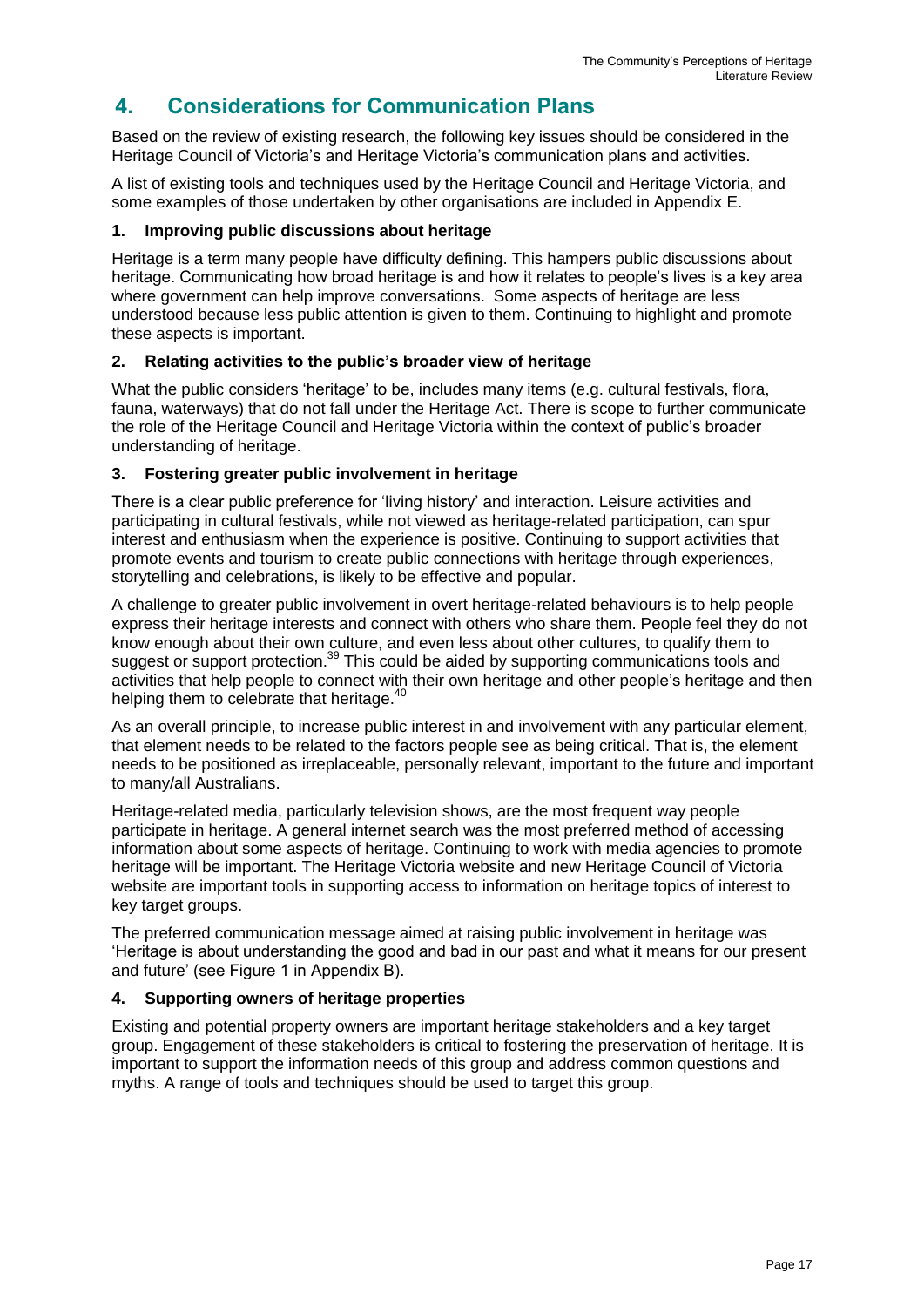## **4. Considerations for Communication Plans**

Based on the review of existing research, the following key issues should be considered in the Heritage Council of Victoria's and Heritage Victoria's communication plans and activities.

A list of existing tools and techniques used by the Heritage Council and Heritage Victoria, and some examples of those undertaken by other organisations are included in Appendix E.

#### **1. Improving public discussions about heritage**

Heritage is a term many people have difficulty defining. This hampers public discussions about heritage. Communicating how broad heritage is and how it relates to people's lives is a key area where government can help improve conversations. Some aspects of heritage are less understood because less public attention is given to them. Continuing to highlight and promote these aspects is important.

#### **2. Relating activities to the public's broader view of heritage**

What the public considers 'heritage' to be, includes many items (e.g. cultural festivals, flora, fauna, waterways) that do not fall under the Heritage Act. There is scope to further communicate the role of the Heritage Council and Heritage Victoria within the context of public's broader understanding of heritage.

#### **3. Fostering greater public involvement in heritage**

There is a clear public preference for 'living history' and interaction. Leisure activities and participating in cultural festivals, while not viewed as heritage-related participation, can spur interest and enthusiasm when the experience is positive. Continuing to support activities that promote events and tourism to create public connections with heritage through experiences, storytelling and celebrations, is likely to be effective and popular.

A challenge to greater public involvement in overt heritage-related behaviours is to help people express their heritage interests and connect with others who share them. People feel they do not know enough about their own culture, and even less about other cultures, to qualify them to suggest or support protection.<sup>39</sup> This could be aided by supporting communications tools and activities that help people to connect with their own heritage and other people's heritage and then helping them to celebrate that heritage.<sup>40</sup>

As an overall principle, to increase public interest in and involvement with any particular element, that element needs to be related to the factors people see as being critical. That is, the element needs to be positioned as irreplaceable, personally relevant, important to the future and important to many/all Australians.

Heritage-related media, particularly television shows, are the most frequent way people participate in heritage. A general internet search was the most preferred method of accessing information about some aspects of heritage. Continuing to work with media agencies to promote heritage will be important. The Heritage Victoria website and new Heritage Council of Victoria website are important tools in supporting access to information on heritage topics of interest to key target groups.

The preferred communication message aimed at raising public involvement in heritage was 'Heritage is about understanding the good and bad in our past and what it means for our present and future' (see Figure 1 in Appendix B).

#### **4. Supporting owners of heritage properties**

Existing and potential property owners are important heritage stakeholders and a key target group. Engagement of these stakeholders is critical to fostering the preservation of heritage. It is important to support the information needs of this group and address common questions and myths. A range of tools and techniques should be used to target this group.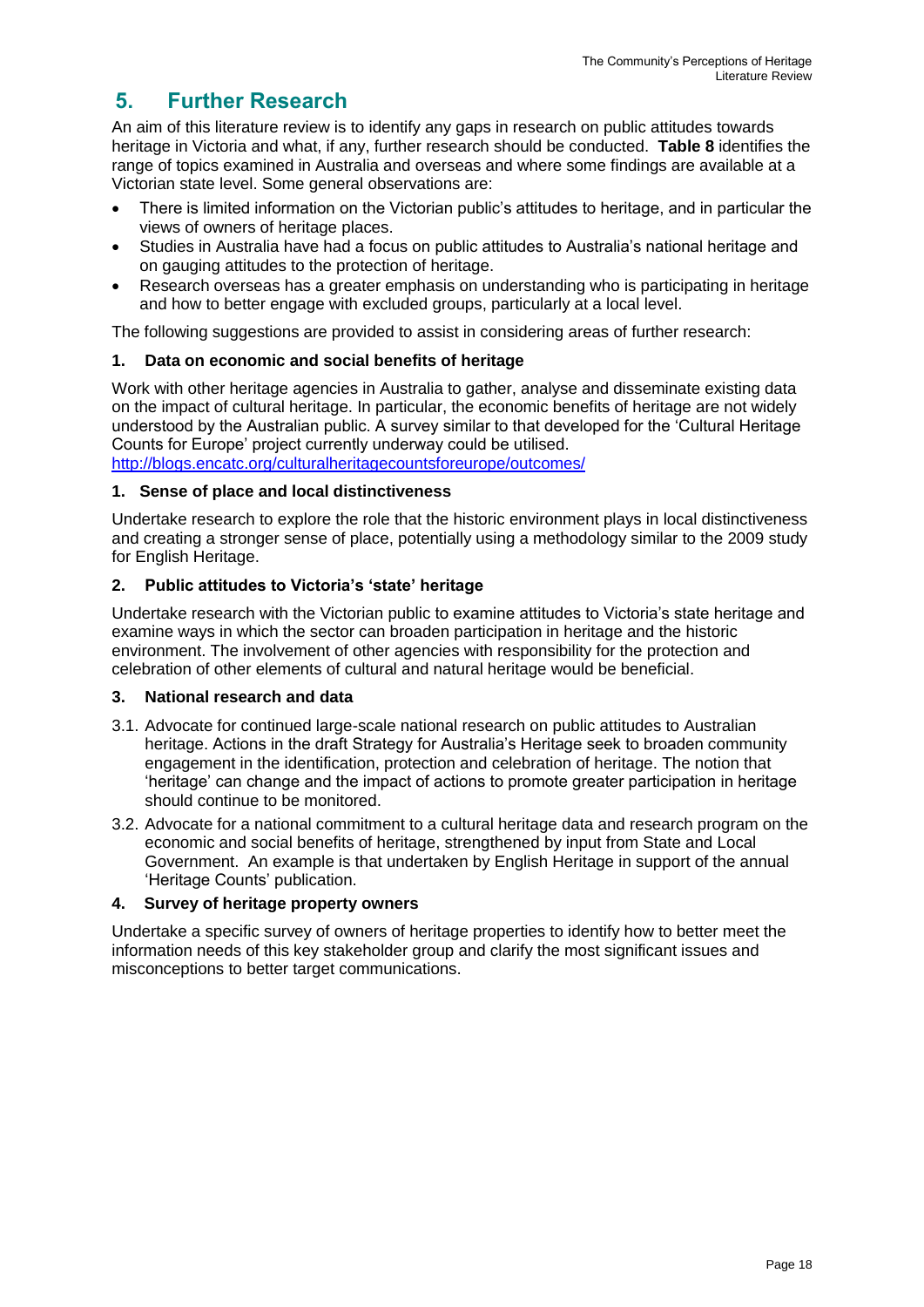## **5. Further Research**

An aim of this literature review is to identify any gaps in research on public attitudes towards heritage in Victoria and what, if any, further research should be conducted. **Table 8** identifies the range of topics examined in Australia and overseas and where some findings are available at a Victorian state level. Some general observations are:

- There is limited information on the Victorian public's attitudes to heritage, and in particular the views of owners of heritage places.
- Studies in Australia have had a focus on public attitudes to Australia's national heritage and on gauging attitudes to the protection of heritage.
- Research overseas has a greater emphasis on understanding who is participating in heritage and how to better engage with excluded groups, particularly at a local level.

The following suggestions are provided to assist in considering areas of further research:

#### **1. Data on economic and social benefits of heritage**

Work with other heritage agencies in Australia to gather, analyse and disseminate existing data on the impact of cultural heritage. In particular, the economic benefits of heritage are not widely understood by the Australian public. A survey similar to that developed for the 'Cultural Heritage Counts for Europe' project currently underway could be utilised. <http://blogs.encatc.org/culturalheritagecountsforeurope/outcomes/>

#### **1. Sense of place and local distinctiveness**

Undertake research to explore the role that the historic environment plays in local distinctiveness and creating a stronger sense of place, potentially using a methodology similar to the 2009 study for English Heritage.

#### **2. Public attitudes to Victoria's 'state' heritage**

Undertake research with the Victorian public to examine attitudes to Victoria's state heritage and examine ways in which the sector can broaden participation in heritage and the historic environment. The involvement of other agencies with responsibility for the protection and celebration of other elements of cultural and natural heritage would be beneficial.

#### **3. National research and data**

- 3.1. Advocate for continued large-scale national research on public attitudes to Australian heritage. Actions in the draft Strategy for Australia's Heritage seek to broaden community engagement in the identification, protection and celebration of heritage. The notion that 'heritage' can change and the impact of actions to promote greater participation in heritage should continue to be monitored.
- 3.2. Advocate for a national commitment to a cultural heritage data and research program on the economic and social benefits of heritage, strengthened by input from State and Local Government. An example is that undertaken by English Heritage in support of the annual 'Heritage Counts' publication.

#### **4. Survey of heritage property owners**

Undertake a specific survey of owners of heritage properties to identify how to better meet the information needs of this key stakeholder group and clarify the most significant issues and misconceptions to better target communications.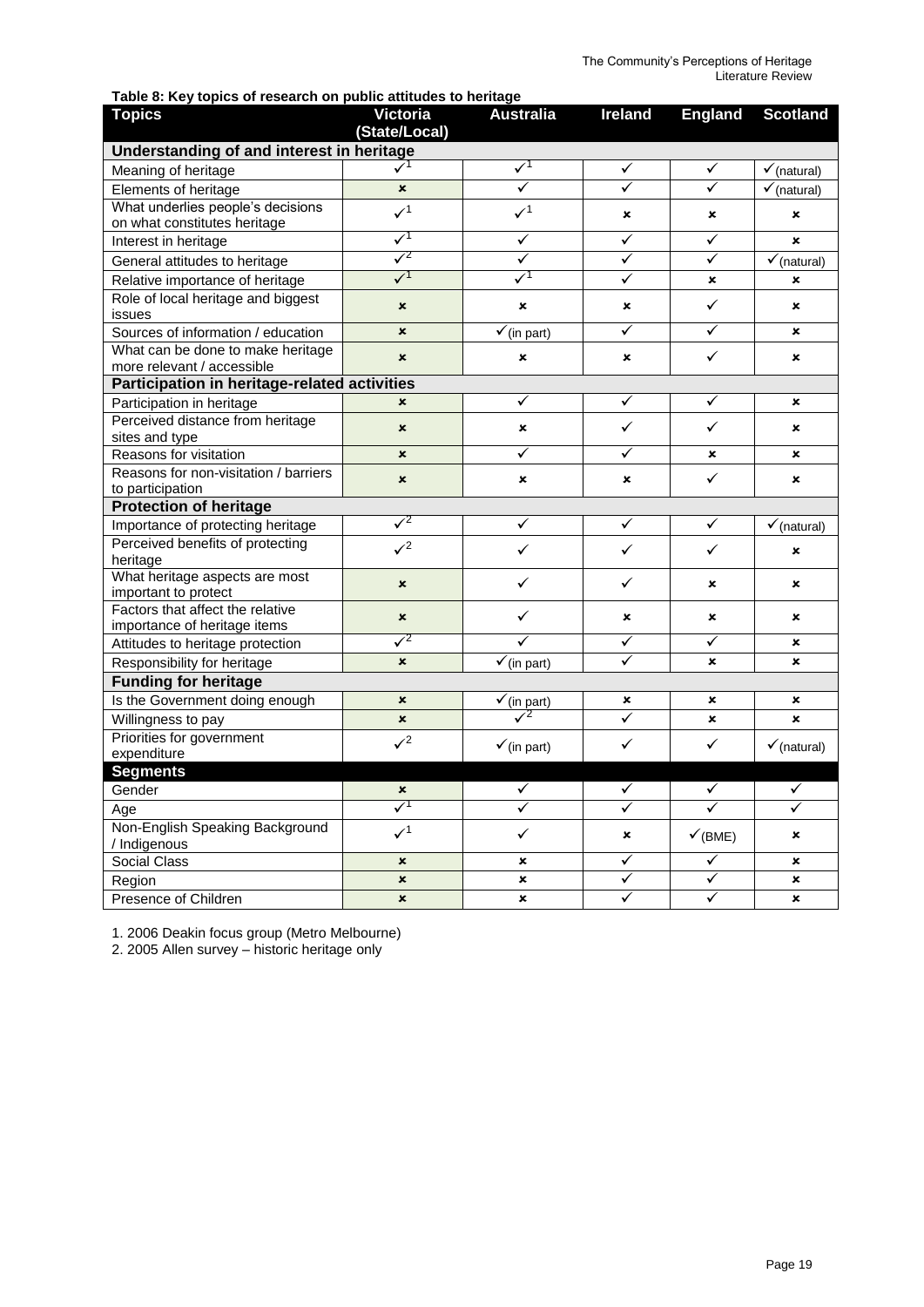**Table 8: Key topics of research on public attitudes to heritage** 

| <b>Topics</b>                                                     | <b>Victoria</b>           | <b>Australia</b>       | <b>Ireland</b>          | <b>England</b>     | <b>Scotland</b>           |  |
|-------------------------------------------------------------------|---------------------------|------------------------|-------------------------|--------------------|---------------------------|--|
| (State/Local)<br>Understanding of and interest in heritage        |                           |                        |                         |                    |                           |  |
|                                                                   | $\checkmark$              | $\sqrt{1}$             | ✓                       |                    |                           |  |
| Meaning of heritage                                               |                           | ✓                      | $\overline{\checkmark}$ | ✓<br>$\checkmark$  | $\checkmark$ (natural)    |  |
| Elements of heritage                                              | $\pmb{\times}$            |                        |                         |                    | $\checkmark$ (natural)    |  |
| What underlies people's decisions<br>on what constitutes heritage | $\mathcal{V}^1$           | $\mathbf{v}^1$         | ×                       | ×                  | $\pmb{\times}$            |  |
| Interest in heritage                                              | $\checkmark$              | $\checkmark$           | ✓                       | $\checkmark$       | $\mathbf x$               |  |
| General attitudes to heritage                                     | $\sqrt{2}$                | ✓                      | ✓                       | $\checkmark$       | $\checkmark$ (natural)    |  |
| Relative importance of heritage                                   | $\checkmark$              | $\sqrt{1}$             | ✓                       | ×                  | ×                         |  |
| Role of local heritage and biggest<br>issues                      | $\boldsymbol{\mathsf{x}}$ | ×                      | ×                       | $\checkmark$       | ×                         |  |
| Sources of information / education                                | $\boldsymbol{\mathsf{x}}$ | $\checkmark$ (in part) | ✓                       | $\checkmark$       | ×                         |  |
| What can be done to make heritage<br>more relevant / accessible   | $\mathbf x$               | ×                      | $\mathbf{x}$            | $\checkmark$       | ×                         |  |
| Participation in heritage-related activities                      |                           |                        |                         |                    |                           |  |
| Participation in heritage                                         | ×                         | ✓                      | ✓                       | ✓                  | ×                         |  |
| Perceived distance from heritage<br>sites and type                | $\boldsymbol{\mathsf{x}}$ | ×                      | $\checkmark$            | ✓                  | ×                         |  |
| Reasons for visitation                                            | $\boldsymbol{\mathsf{x}}$ | ✓                      | ✓                       | $\pmb{\times}$     | ×                         |  |
| Reasons for non-visitation / barriers                             |                           |                        |                         |                    |                           |  |
| to participation                                                  | $\boldsymbol{\mathsf{x}}$ | ×                      | ×                       | $\checkmark$       | ×                         |  |
| <b>Protection of heritage</b>                                     |                           |                        |                         |                    |                           |  |
| Importance of protecting heritage                                 | $\sqrt{2}$                | $\checkmark$           | ✓                       | $\checkmark$       | $\checkmark$ (natural)    |  |
| Perceived benefits of protecting<br>heritage                      | $\sqrt{2}$                | ✓                      | ✓                       | $\checkmark$       | $\boldsymbol{\mathsf{x}}$ |  |
| What heritage aspects are most<br>important to protect            | $\boldsymbol{\mathsf{x}}$ | $\checkmark$           | $\checkmark$            | ×                  | ×                         |  |
| Factors that affect the relative<br>importance of heritage items  | $\pmb{\times}$            | ✓                      | ×                       | $\pmb{\times}$     | ×                         |  |
| Attitudes to heritage protection                                  | $\sqrt{2}$                | $\checkmark$           | $\checkmark$            | $\checkmark$       | ×                         |  |
| Responsibility for heritage                                       | $\boldsymbol{\mathsf{x}}$ | $\checkmark$ (in part) | ✓                       | $\mathbf{x}$       | ×                         |  |
| <b>Funding for heritage</b>                                       |                           |                        |                         |                    |                           |  |
| Is the Government doing enough                                    | $\pmb{\times}$            | $\checkmark$ (in part) | ×                       | ×                  | ×                         |  |
| Willingness to pay                                                | $\boldsymbol{\mathsf{x}}$ | $\sqrt{2}$             | $\overline{\checkmark}$ | $\pmb{\times}$     | $\boldsymbol{\mathsf{x}}$ |  |
| Priorities for government                                         | $\sqrt{2}$                |                        | $\checkmark$            | $\checkmark$       |                           |  |
| expenditure                                                       |                           | $\checkmark$ (in part) |                         |                    | $\checkmark$ (natural)    |  |
| <b>Segments</b>                                                   |                           |                        |                         |                    |                           |  |
| Gender                                                            | $\boldsymbol{\mathsf{x}}$ | ✓                      | ✓                       | ✓                  | ✓                         |  |
| Age                                                               | $\checkmark$              |                        |                         | $\checkmark$       | ✓                         |  |
| Non-English Speaking Background<br>/ Indigenous                   | $\mathcal{V}^1$           | ✓                      | ×                       | $\checkmark$ (BME) | ×                         |  |
| <b>Social Class</b>                                               | $\boldsymbol{\mathsf{x}}$ | ×                      | ✓                       | $\checkmark$       | $\pmb{\times}$            |  |
| Region                                                            | $\boldsymbol{\mathsf{x}}$ | ×                      | ✓                       | $\checkmark$       | ×                         |  |
| Presence of Children                                              | $\pmb{\times}$            | $\mathbf x$            | ✓                       | ✓                  | $\boldsymbol{\mathsf{x}}$ |  |

1. 2006 Deakin focus group (Metro Melbourne)

2. 2005 Allen survey – historic heritage only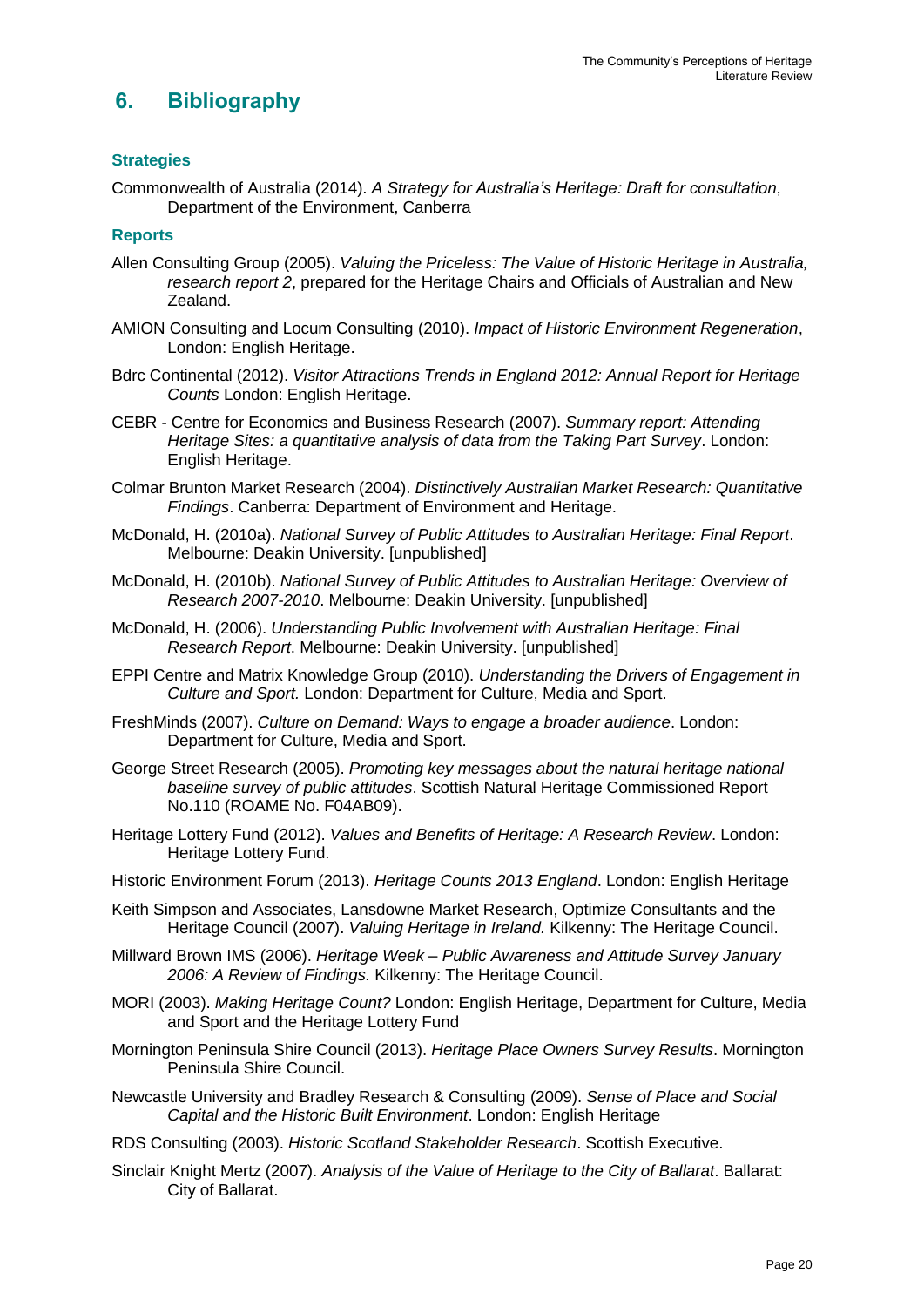## **6. Bibliography**

#### **Strategies**

Commonwealth of Australia (2014). *A Strategy for Australia's Heritage: Draft for consultation*, Department of the Environment, Canberra

#### **Reports**

- Allen Consulting Group (2005). *Valuing the Priceless: The Value of Historic Heritage in Australia, research report 2*, prepared for the Heritage Chairs and Officials of Australian and New Zealand.
- AMION Consulting and Locum Consulting (2010). *Impact of Historic Environment Regeneration*, London: English Heritage.
- Bdrc Continental (2012). *Visitor Attractions Trends in England 2012: Annual Report for Heritage Counts* London: English Heritage.
- CEBR Centre for Economics and Business Research (2007). *Summary report: Attending Heritage Sites: a quantitative analysis of data from the Taking Part Survey*. London: English Heritage.
- Colmar Brunton Market Research (2004). *Distinctively Australian Market Research: Quantitative Findings*. Canberra: Department of Environment and Heritage.
- McDonald, H. (2010a). *National Survey of Public Attitudes to Australian Heritage: Final Report*. Melbourne: Deakin University. [unpublished]
- McDonald, H. (2010b). *National Survey of Public Attitudes to Australian Heritage: Overview of Research 2007-2010*. Melbourne: Deakin University. [unpublished]
- McDonald, H. (2006). *Understanding Public Involvement with Australian Heritage: Final Research Report*. Melbourne: Deakin University. [unpublished]
- EPPI Centre and Matrix Knowledge Group (2010). *Understanding the Drivers of Engagement in Culture and Sport.* London: Department for Culture, Media and Sport.
- FreshMinds (2007). *Culture on Demand: Ways to engage a broader audience*. London: Department for Culture, Media and Sport.
- George Street Research (2005). *Promoting key messages about the natural heritage national baseline survey of public attitudes*. Scottish Natural Heritage Commissioned Report No.110 (ROAME No. F04AB09).
- Heritage Lottery Fund (2012). *Values and Benefits of Heritage: A Research Review*. London: Heritage Lottery Fund.
- Historic Environment Forum (2013). *Heritage Counts 2013 England*. London: English Heritage
- Keith Simpson and Associates, Lansdowne Market Research, Optimize Consultants and the Heritage Council (2007). *Valuing Heritage in Ireland.* Kilkenny: The Heritage Council.
- Millward Brown IMS (2006). *Heritage Week – Public Awareness and Attitude Survey January 2006: A Review of Findings.* Kilkenny: The Heritage Council.
- MORI (2003). *Making Heritage Count?* London: English Heritage, Department for Culture, Media and Sport and the Heritage Lottery Fund
- Mornington Peninsula Shire Council (2013). *Heritage Place Owners Survey Results*. Mornington Peninsula Shire Council.
- Newcastle University and Bradley Research & Consulting (2009). *Sense of Place and Social Capital and the Historic Built Environment*. London: English Heritage
- RDS Consulting (2003). *Historic Scotland Stakeholder Research*. Scottish Executive.
- Sinclair Knight Mertz (2007). *Analysis of the Value of Heritage to the City of Ballarat*. Ballarat: City of Ballarat.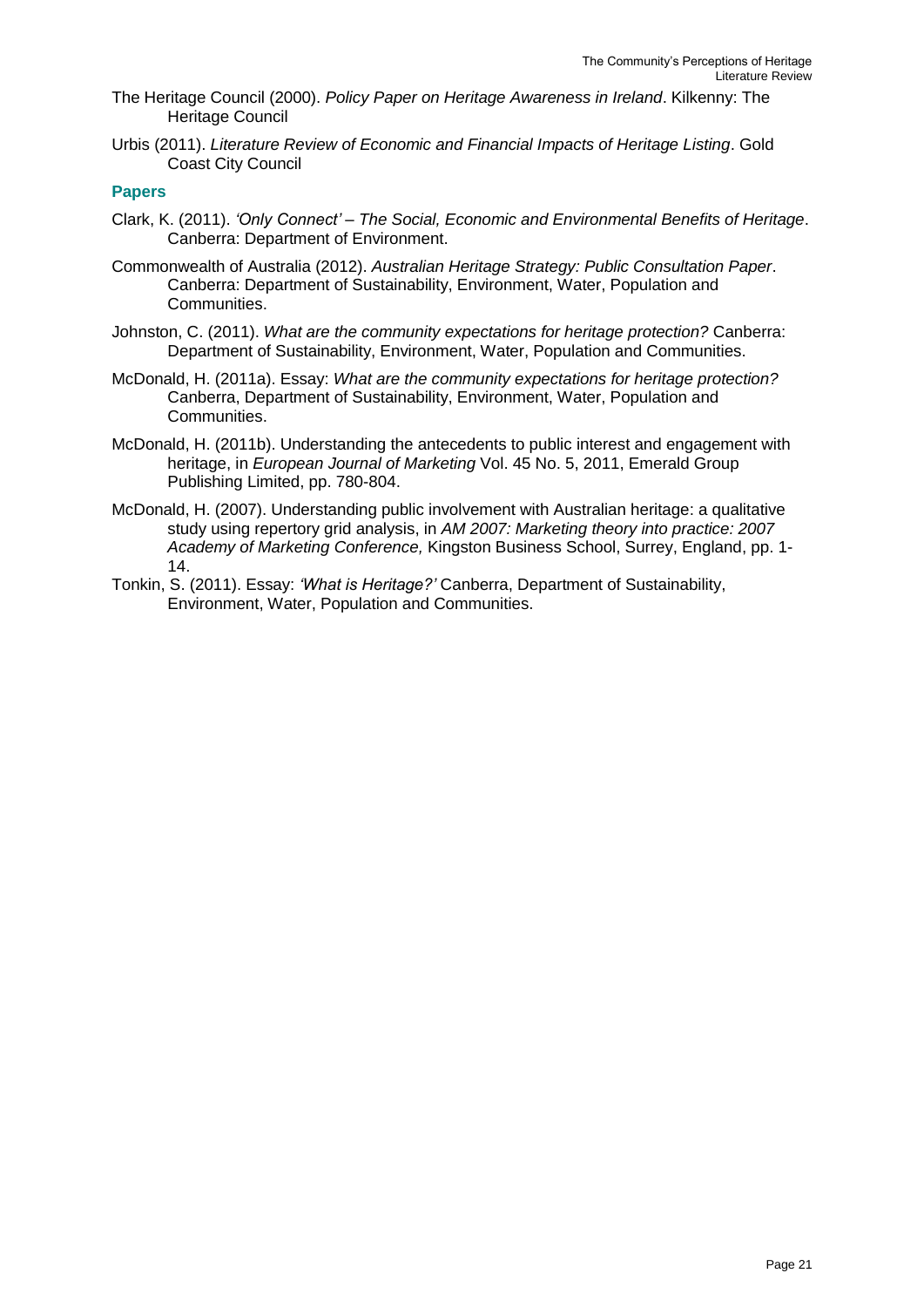- The Heritage Council (2000). *Policy Paper on Heritage Awareness in Ireland*. Kilkenny: The Heritage Council
- Urbis (2011). *Literature Review of Economic and Financial Impacts of Heritage Listing*. Gold Coast City Council

#### **Papers**

- Clark, K. (2011). *'Only Connect' – The Social, Economic and Environmental Benefits of Heritage*. Canberra: Department of Environment.
- Commonwealth of Australia (2012). *Australian Heritage Strategy: Public Consultation Paper*. Canberra: Department of Sustainability, Environment, Water, Population and Communities.
- Johnston, C. (2011). *What are the community expectations for heritage protection?* Canberra: Department of Sustainability, Environment, Water, Population and Communities.
- McDonald, H. (2011a). Essay: *What are the community expectations for heritage protection?* Canberra, Department of Sustainability, Environment, Water, Population and Communities.
- McDonald, H. (2011b). Understanding the antecedents to public interest and engagement with heritage, in *European Journal of Marketing* Vol. 45 No. 5, 2011, Emerald Group Publishing Limited, pp. 780-804.
- McDonald, H. (2007). Understanding public involvement with Australian heritage: a qualitative study using repertory grid analysis, in *AM 2007: Marketing theory into practice: 2007 Academy of Marketing Conference,* Kingston Business School, Surrey, England, pp. 1- 14.
- Tonkin, S. (2011). Essay: *'What is Heritage?'* Canberra, Department of Sustainability, Environment, Water, Population and Communities.